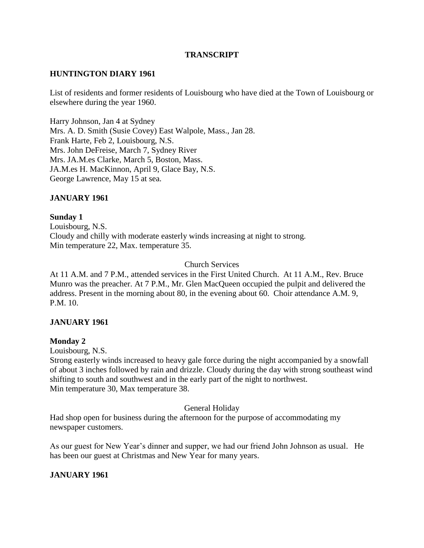## **TRANSCRIPT**

## **HUNTINGTON DIARY 1961**

List of residents and former residents of Louisbourg who have died at the Town of Louisbourg or elsewhere during the year 1960.

Harry Johnson, Jan 4 at Sydney Mrs. A. D. Smith (Susie Covey) East Walpole, Mass., Jan 28. Frank Harte, Feb 2, Louisbourg, N.S. Mrs. John DeFreise, March 7, Sydney River Mrs. JA.M.es Clarke, March 5, Boston, Mass. JA.M.es H. MacKinnon, April 9, Glace Bay, N.S. George Lawrence, May 15 at sea.

## **JANUARY 1961**

## **Sunday 1**

Louisbourg, N.S. Cloudy and chilly with moderate easterly winds increasing at night to strong. Min temperature 22, Max. temperature 35.

Church Services

At 11 A.M. and 7 P.M., attended services in the First United Church. At 11 A.M., Rev. Bruce Munro was the preacher. At 7 P.M., Mr. Glen MacQueen occupied the pulpit and delivered the address. Present in the morning about 80, in the evening about 60. Choir attendance A.M. 9, P.M. 10.

## **JANUARY 1961**

## **Monday 2**

Louisbourg, N.S.

Strong easterly winds increased to heavy gale force during the night accompanied by a snowfall of about 3 inches followed by rain and drizzle. Cloudy during the day with strong southeast wind shifting to south and southwest and in the early part of the night to northwest. Min temperature 30, Max temperature 38.

General Holiday

Had shop open for business during the afternoon for the purpose of accommodating my newspaper customers.

As our guest for New Year's dinner and supper, we had our friend John Johnson as usual. He has been our guest at Christmas and New Year for many years.

# **JANUARY 1961**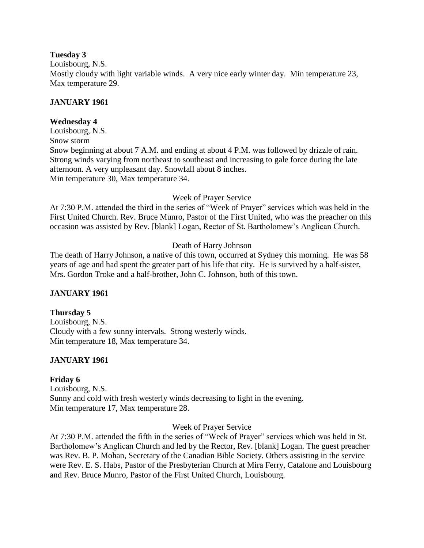## **Tuesday 3**

Louisbourg, N.S. Mostly cloudy with light variable winds. A very nice early winter day. Min temperature 23, Max temperature 29.

# **JANUARY 1961**

# **Wednesday 4**

Louisbourg, N.S. Snow storm Snow beginning at about 7 A.M. and ending at about 4 P.M. was followed by drizzle of rain. Strong winds varying from northeast to southeast and increasing to gale force during the late afternoon. A very unpleasant day. Snowfall about 8 inches. Min temperature 30, Max temperature 34.

# Week of Prayer Service

At 7:30 P.M. attended the third in the series of "Week of Prayer" services which was held in the First United Church. Rev. Bruce Munro, Pastor of the First United, who was the preacher on this occasion was assisted by Rev. [blank] Logan, Rector of St. Bartholomew's Anglican Church.

# Death of Harry Johnson

The death of Harry Johnson, a native of this town, occurred at Sydney this morning. He was 58 years of age and had spent the greater part of his life that city. He is survived by a half-sister, Mrs. Gordon Troke and a half-brother, John C. Johnson, both of this town.

# **JANUARY 1961**

# **Thursday 5**

Louisbourg, N.S. Cloudy with a few sunny intervals. Strong westerly winds. Min temperature 18, Max temperature 34.

# **JANUARY 1961**

# **Friday 6**

Louisbourg, N.S. Sunny and cold with fresh westerly winds decreasing to light in the evening. Min temperature 17, Max temperature 28.

# Week of Prayer Service

At 7:30 P.M. attended the fifth in the series of "Week of Prayer" services which was held in St. Bartholomew's Anglican Church and led by the Rector, Rev. [blank] Logan. The guest preacher was Rev. B. P. Mohan, Secretary of the Canadian Bible Society. Others assisting in the service were Rev. E. S. Habs, Pastor of the Presbyterian Church at Mira Ferry, Catalone and Louisbourg and Rev. Bruce Munro, Pastor of the First United Church, Louisbourg.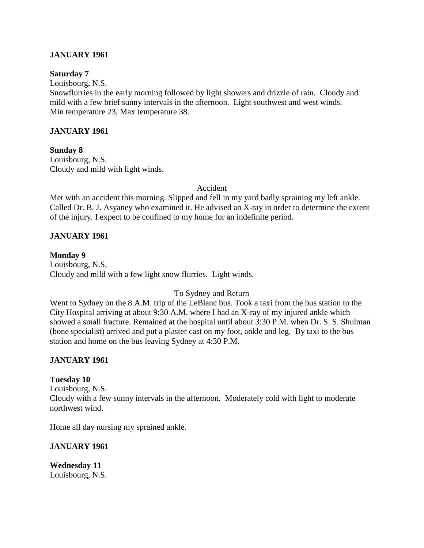## **JANUARY 1961**

### **Saturday 7**

Louisbourg, N.S.

Snowflurries in the early morning followed by light showers and drizzle of rain. Cloudy and mild with a few brief sunny intervals in the afternoon. Light southwest and west winds. Min temperature 23, Max temperature 38.

## **JANUARY 1961**

**Sunday 8** Louisbourg, N.S. Cloudy and mild with light winds.

Accident

Met with an accident this morning. Slipped and fell in my yard badly spraining my left ankle. Called Dr. B. J. Asyaney who examined it. He advised an X-ray in order to determine the extent of the injury. I expect to be confined to my home for an indefinite period.

## **JANUARY 1961**

**Monday 9** Louisbourg, N.S. Cloudy and mild with a few light snow flurries. Light winds.

## To Sydney and Return

Went to Sydney on the 8 A.M. trip of the LeBlanc bus. Took a taxi from the bus station to the City Hospital arriving at about 9:30 A.M. where I had an X-ray of my injured ankle which showed a small fracture. Remained at the hospital until about 3:30 P.M. when Dr. S. S. Shulman (bone specialist) arrived and put a plaster cast on my foot, ankle and leg. By taxi to the bus station and home on the bus leaving Sydney at 4:30 P.M.

## **JANUARY 1961**

## **Tuesday 10**

Louisbourg, N.S. Cloudy with a few sunny intervals in the afternoon. Moderately cold with light to moderate northwest wind.

Home all day nursing my sprained ankle.

## **JANUARY 1961**

**Wednesday 11** Louisbourg, N.S.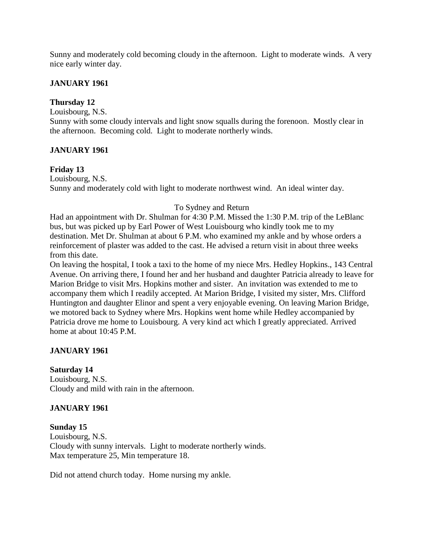Sunny and moderately cold becoming cloudy in the afternoon. Light to moderate winds. A very nice early winter day.

## **JANUARY 1961**

## **Thursday 12**

Louisbourg, N.S.

Sunny with some cloudy intervals and light snow squalls during the forenoon. Mostly clear in the afternoon. Becoming cold. Light to moderate northerly winds.

## **JANUARY 1961**

## **Friday 13**

Louisbourg, N.S. Sunny and moderately cold with light to moderate northwest wind. An ideal winter day.

## To Sydney and Return

Had an appointment with Dr. Shulman for 4:30 P.M. Missed the 1:30 P.M. trip of the LeBlanc bus, but was picked up by Earl Power of West Louisbourg who kindly took me to my destination. Met Dr. Shulman at about 6 P.M. who examined my ankle and by whose orders a reinforcement of plaster was added to the cast. He advised a return visit in about three weeks from this date.

On leaving the hospital, I took a taxi to the home of my niece Mrs. Hedley Hopkins., 143 Central Avenue. On arriving there, I found her and her husband and daughter Patricia already to leave for Marion Bridge to visit Mrs. Hopkins mother and sister. An invitation was extended to me to accompany them which I readily accepted. At Marion Bridge, I visited my sister, Mrs. Clifford Huntington and daughter Elinor and spent a very enjoyable evening. On leaving Marion Bridge, we motored back to Sydney where Mrs. Hopkins went home while Hedley accompanied by Patricia drove me home to Louisbourg. A very kind act which I greatly appreciated. Arrived home at about 10:45 P.M.

# **JANUARY 1961**

## **Saturday 14**

Louisbourg, N.S. Cloudy and mild with rain in the afternoon.

# **JANUARY 1961**

**Sunday 15** Louisbourg, N.S. Cloudy with sunny intervals. Light to moderate northerly winds. Max temperature 25, Min temperature 18.

Did not attend church today. Home nursing my ankle.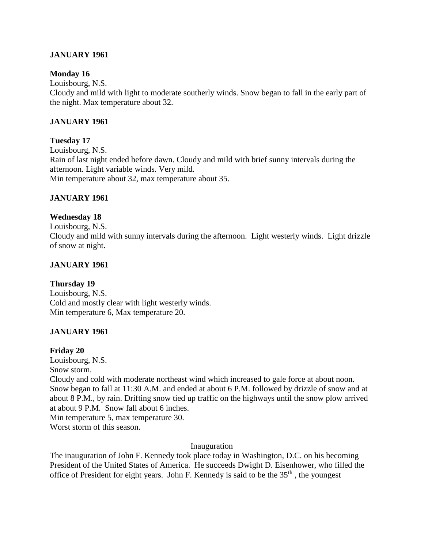## **JANUARY 1961**

## **Monday 16**

Louisbourg, N.S.

Cloudy and mild with light to moderate southerly winds. Snow began to fall in the early part of the night. Max temperature about 32.

## **JANUARY 1961**

## **Tuesday 17**

Louisbourg, N.S. Rain of last night ended before dawn. Cloudy and mild with brief sunny intervals during the afternoon. Light variable winds. Very mild. Min temperature about 32, max temperature about 35.

## **JANUARY 1961**

## **Wednesday 18**

Louisbourg, N.S. Cloudy and mild with sunny intervals during the afternoon. Light westerly winds. Light drizzle of snow at night.

## **JANUARY 1961**

## **Thursday 19**

Louisbourg, N.S. Cold and mostly clear with light westerly winds. Min temperature 6, Max temperature 20.

# **JANUARY 1961**

## **Friday 20**

Louisbourg, N.S. Snow storm.

Cloudy and cold with moderate northeast wind which increased to gale force at about noon. Snow began to fall at 11:30 A.M. and ended at about 6 P.M. followed by drizzle of snow and at about 8 P.M., by rain. Drifting snow tied up traffic on the highways until the snow plow arrived at about 9 P.M. Snow fall about 6 inches.

Min temperature 5, max temperature 30.

Worst storm of this season.

Inauguration

The inauguration of John F. Kennedy took place today in Washington, D.C. on his becoming President of the United States of America. He succeeds Dwight D. Eisenhower, who filled the office of President for eight years. John F. Kennedy is said to be the  $35<sup>th</sup>$ , the youngest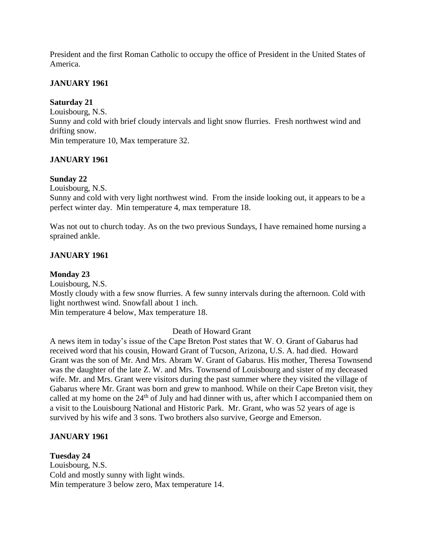President and the first Roman Catholic to occupy the office of President in the United States of America.

## **JANUARY 1961**

## **Saturday 21**

Louisbourg, N.S.

Sunny and cold with brief cloudy intervals and light snow flurries. Fresh northwest wind and drifting snow.

Min temperature 10, Max temperature 32.

# **JANUARY 1961**

# **Sunday 22**

Louisbourg, N.S.

Sunny and cold with very light northwest wind. From the inside looking out, it appears to be a perfect winter day. Min temperature 4, max temperature 18.

Was not out to church today. As on the two previous Sundays, I have remained home nursing a sprained ankle.

# **JANUARY 1961**

# **Monday 23**

Louisbourg, N.S. Mostly cloudy with a few snow flurries. A few sunny intervals during the afternoon. Cold with light northwest wind. Snowfall about 1 inch. Min temperature 4 below, Max temperature 18.

# Death of Howard Grant

A news item in today's issue of the Cape Breton Post states that W. O. Grant of Gabarus had received word that his cousin, Howard Grant of Tucson, Arizona, U.S. A. had died. Howard Grant was the son of Mr. And Mrs. Abram W. Grant of Gabarus. His mother, Theresa Townsend was the daughter of the late Z. W. and Mrs. Townsend of Louisbourg and sister of my deceased wife. Mr. and Mrs. Grant were visitors during the past summer where they visited the village of Gabarus where Mr. Grant was born and grew to manhood. While on their Cape Breton visit, they called at my home on the 24<sup>th</sup> of July and had dinner with us, after which I accompanied them on a visit to the Louisbourg National and Historic Park. Mr. Grant, who was 52 years of age is survived by his wife and 3 sons. Two brothers also survive, George and Emerson.

# **JANUARY 1961**

## **Tuesday 24** Louisbourg, N.S. Cold and mostly sunny with light winds. Min temperature 3 below zero, Max temperature 14.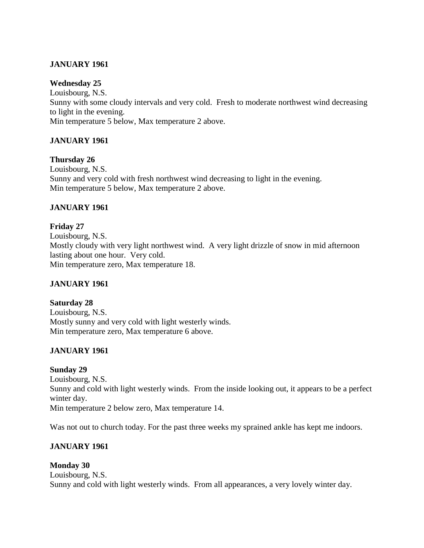# **JANUARY 1961**

## **Wednesday 25**

Louisbourg, N.S. Sunny with some cloudy intervals and very cold. Fresh to moderate northwest wind decreasing to light in the evening. Min temperature 5 below, Max temperature 2 above.

# **JANUARY 1961**

## **Thursday 26**

Louisbourg, N.S. Sunny and very cold with fresh northwest wind decreasing to light in the evening. Min temperature 5 below, Max temperature 2 above.

# **JANUARY 1961**

**Friday 27** Louisbourg, N.S. Mostly cloudy with very light northwest wind. A very light drizzle of snow in mid afternoon lasting about one hour. Very cold. Min temperature zero, Max temperature 18.

## **JANUARY 1961**

# **Saturday 28**

Louisbourg, N.S. Mostly sunny and very cold with light westerly winds. Min temperature zero, Max temperature 6 above.

# **JANUARY 1961**

## **Sunday 29**

Louisbourg, N.S. Sunny and cold with light westerly winds. From the inside looking out, it appears to be a perfect winter day. Min temperature 2 below zero, Max temperature 14.

Was not out to church today. For the past three weeks my sprained ankle has kept me indoors.

# **JANUARY 1961**

# **Monday 30**

Louisbourg, N.S. Sunny and cold with light westerly winds. From all appearances, a very lovely winter day.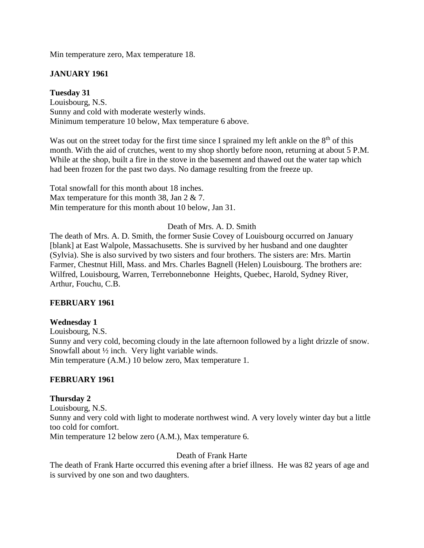Min temperature zero, Max temperature 18.

## **JANUARY 1961**

## **Tuesday 31**

Louisbourg, N.S. Sunny and cold with moderate westerly winds. Minimum temperature 10 below, Max temperature 6 above.

Was out on the street today for the first time since I sprained my left ankle on the  $8<sup>th</sup>$  of this month. With the aid of crutches, went to my shop shortly before noon, returning at about 5 P.M. While at the shop, built a fire in the stove in the basement and thawed out the water tap which had been frozen for the past two days. No damage resulting from the freeze up.

Total snowfall for this month about 18 inches. Max temperature for this month 38, Jan 2 & 7. Min temperature for this month about 10 below, Jan 31.

## Death of Mrs. A. D. Smith

The death of Mrs. A. D. Smith, the former Susie Covey of Louisbourg occurred on January [blank] at East Walpole, Massachusetts. She is survived by her husband and one daughter (Sylvia). She is also survived by two sisters and four brothers. The sisters are: Mrs. Martin Farmer, Chestnut Hill, Mass. and Mrs. Charles Bagnell (Helen) Louisbourg. The brothers are: Wilfred, Louisbourg, Warren, Terrebonnebonne Heights, Quebec, Harold, Sydney River, Arthur, Fouchu, C.B.

#### **FEBRUARY 1961**

#### **Wednesday 1**

Louisbourg, N.S. Sunny and very cold, becoming cloudy in the late afternoon followed by a light drizzle of snow. Snowfall about ½ inch. Very light variable winds. Min temperature (A.M.) 10 below zero, Max temperature 1.

## **FEBRUARY 1961**

#### **Thursday 2**

Louisbourg, N.S. Sunny and very cold with light to moderate northwest wind. A very lovely winter day but a little too cold for comfort. Min temperature 12 below zero (A.M.), Max temperature 6.

#### Death of Frank Harte

The death of Frank Harte occurred this evening after a brief illness. He was 82 years of age and is survived by one son and two daughters.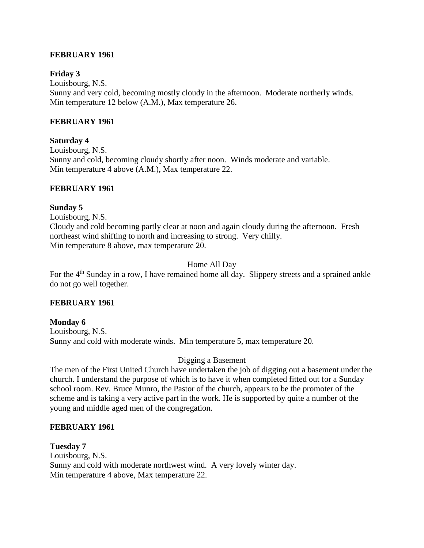## **FEBRUARY 1961**

## **Friday 3**

Louisbourg, N.S. Sunny and very cold, becoming mostly cloudy in the afternoon. Moderate northerly winds. Min temperature 12 below (A.M.), Max temperature 26.

## **FEBRUARY 1961**

## **Saturday 4**

Louisbourg, N.S. Sunny and cold, becoming cloudy shortly after noon. Winds moderate and variable. Min temperature 4 above (A.M.), Max temperature 22.

## **FEBRUARY 1961**

## **Sunday 5**

Louisbourg, N.S. Cloudy and cold becoming partly clear at noon and again cloudy during the afternoon. Fresh northeast wind shifting to north and increasing to strong. Very chilly. Min temperature 8 above, max temperature 20.

# Home All Day

For the  $4<sup>th</sup>$  Sunday in a row, I have remained home all day. Slippery streets and a sprained ankle do not go well together.

## **FEBRUARY 1961**

**Monday 6** Louisbourg, N.S. Sunny and cold with moderate winds. Min temperature 5, max temperature 20.

# Digging a Basement

The men of the First United Church have undertaken the job of digging out a basement under the church. I understand the purpose of which is to have it when completed fitted out for a Sunday school room. Rev. Bruce Munro, the Pastor of the church, appears to be the promoter of the scheme and is taking a very active part in the work. He is supported by quite a number of the young and middle aged men of the congregation.

## **FEBRUARY 1961**

**Tuesday 7** Louisbourg, N.S. Sunny and cold with moderate northwest wind. A very lovely winter day. Min temperature 4 above, Max temperature 22.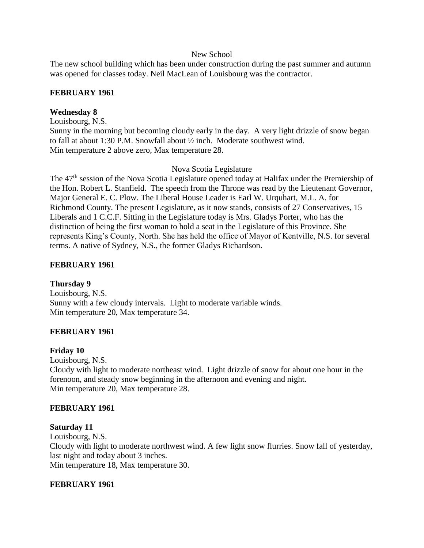### New School

The new school building which has been under construction during the past summer and autumn was opened for classes today. Neil MacLean of Louisbourg was the contractor.

## **FEBRUARY 1961**

## **Wednesday 8**

Louisbourg, N.S. Sunny in the morning but becoming cloudy early in the day. A very light drizzle of snow began to fall at about 1:30 P.M. Snowfall about ½ inch. Moderate southwest wind. Min temperature 2 above zero, Max temperature 28.

## Nova Scotia Legislature

The 47<sup>th</sup> session of the Nova Scotia Legislature opened today at Halifax under the Premiership of the Hon. Robert L. Stanfield. The speech from the Throne was read by the Lieutenant Governor, Major General E. C. Plow. The Liberal House Leader is Earl W. Urquhart, M.L. A. for Richmond County. The present Legislature, as it now stands, consists of 27 Conservatives, 15 Liberals and 1 C.C.F. Sitting in the Legislature today is Mrs. Gladys Porter, who has the distinction of being the first woman to hold a seat in the Legislature of this Province. She represents King's County, North. She has held the office of Mayor of Kentville, N.S. for several terms. A native of Sydney, N.S., the former Gladys Richardson.

## **FEBRUARY 1961**

# **Thursday 9**

Louisbourg, N.S. Sunny with a few cloudy intervals. Light to moderate variable winds. Min temperature 20, Max temperature 34.

# **FEBRUARY 1961**

## **Friday 10**

Louisbourg, N.S. Cloudy with light to moderate northeast wind. Light drizzle of snow for about one hour in the forenoon, and steady snow beginning in the afternoon and evening and night. Min temperature 20, Max temperature 28.

## **FEBRUARY 1961**

## **Saturday 11**

Louisbourg, N.S.

Cloudy with light to moderate northwest wind. A few light snow flurries. Snow fall of yesterday, last night and today about 3 inches.

Min temperature 18, Max temperature 30.

## **FEBRUARY 1961**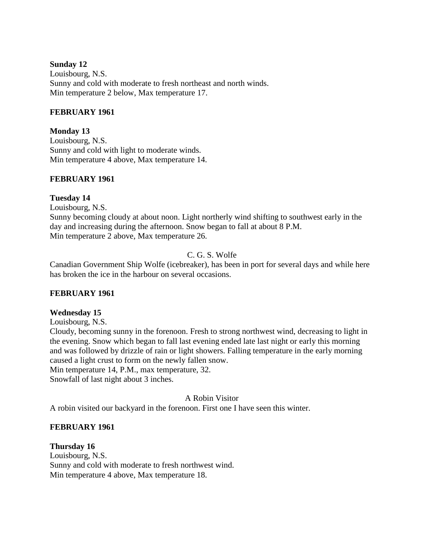## **Sunday 12**

Louisbourg, N.S. Sunny and cold with moderate to fresh northeast and north winds. Min temperature 2 below, Max temperature 17.

## **FEBRUARY 1961**

**Monday 13**

Louisbourg, N.S. Sunny and cold with light to moderate winds. Min temperature 4 above, Max temperature 14.

## **FEBRUARY 1961**

## **Tuesday 14**

Louisbourg, N.S. Sunny becoming cloudy at about noon. Light northerly wind shifting to southwest early in the day and increasing during the afternoon. Snow began to fall at about 8 P.M. Min temperature 2 above, Max temperature 26.

# C. G. S. Wolfe

Canadian Government Ship Wolfe (icebreaker), has been in port for several days and while here has broken the ice in the harbour on several occasions.

# **FEBRUARY 1961**

## **Wednesday 15**

Louisbourg, N.S. Cloudy, becoming sunny in the forenoon. Fresh to strong northwest wind, decreasing to light in the evening. Snow which began to fall last evening ended late last night or early this morning and was followed by drizzle of rain or light showers. Falling temperature in the early morning caused a light crust to form on the newly fallen snow. Min temperature 14, P.M., max temperature, 32. Snowfall of last night about 3 inches.

A Robin Visitor

A robin visited our backyard in the forenoon. First one I have seen this winter.

## **FEBRUARY 1961**

**Thursday 16** Louisbourg, N.S. Sunny and cold with moderate to fresh northwest wind. Min temperature 4 above, Max temperature 18.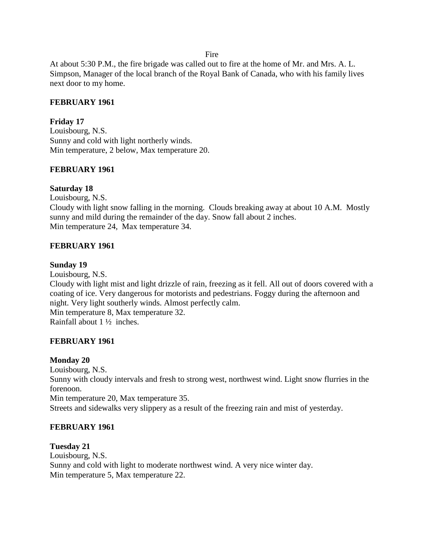Fire

At about 5:30 P.M., the fire brigade was called out to fire at the home of Mr. and Mrs. A. L. Simpson, Manager of the local branch of the Royal Bank of Canada, who with his family lives next door to my home.

## **FEBRUARY 1961**

## **Friday 17**

Louisbourg, N.S. Sunny and cold with light northerly winds. Min temperature, 2 below, Max temperature 20.

## **FEBRUARY 1961**

## **Saturday 18**

Louisbourg, N.S. Cloudy with light snow falling in the morning. Clouds breaking away at about 10 A.M. Mostly sunny and mild during the remainder of the day. Snow fall about 2 inches. Min temperature 24, Max temperature 34.

## **FEBRUARY 1961**

## **Sunday 19**

Louisbourg, N.S. Cloudy with light mist and light drizzle of rain, freezing as it fell. All out of doors covered with a coating of ice. Very dangerous for motorists and pedestrians. Foggy during the afternoon and night. Very light southerly winds. Almost perfectly calm. Min temperature 8, Max temperature 32. Rainfall about 1 ½ inches.

# **FEBRUARY 1961**

## **Monday 20**

Louisbourg, N.S. Sunny with cloudy intervals and fresh to strong west, northwest wind. Light snow flurries in the forenoon. Min temperature 20, Max temperature 35. Streets and sidewalks very slippery as a result of the freezing rain and mist of yesterday.

# **FEBRUARY 1961**

## **Tuesday 21**

Louisbourg, N.S. Sunny and cold with light to moderate northwest wind. A very nice winter day. Min temperature 5, Max temperature 22.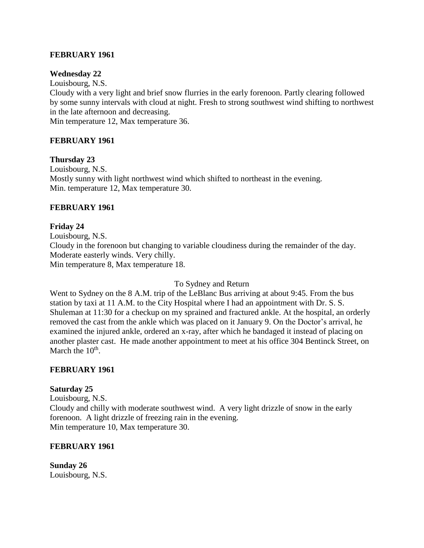## **FEBRUARY 1961**

## **Wednesday 22**

Louisbourg, N.S.

Cloudy with a very light and brief snow flurries in the early forenoon. Partly clearing followed by some sunny intervals with cloud at night. Fresh to strong southwest wind shifting to northwest in the late afternoon and decreasing.

Min temperature 12, Max temperature 36.

## **FEBRUARY 1961**

**Thursday 23** Louisbourg, N.S. Mostly sunny with light northwest wind which shifted to northeast in the evening. Min. temperature 12, Max temperature 30.

## **FEBRUARY 1961**

## **Friday 24**

Louisbourg, N.S. Cloudy in the forenoon but changing to variable cloudiness during the remainder of the day. Moderate easterly winds. Very chilly. Min temperature 8, Max temperature 18.

## To Sydney and Return

Went to Sydney on the 8 A.M. trip of the LeBlanc Bus arriving at about 9:45. From the bus station by taxi at 11 A.M. to the City Hospital where I had an appointment with Dr. S. S. Shuleman at 11:30 for a checkup on my sprained and fractured ankle. At the hospital, an orderly removed the cast from the ankle which was placed on it January 9. On the Doctor's arrival, he examined the injured ankle, ordered an x-ray, after which he bandaged it instead of placing on another plaster cast. He made another appointment to meet at his office 304 Bentinck Street, on March the  $10^{\text{th}}$ .

## **FEBRUARY 1961**

## **Saturday 25**

Louisbourg, N.S. Cloudy and chilly with moderate southwest wind. A very light drizzle of snow in the early forenoon. A light drizzle of freezing rain in the evening. Min temperature 10, Max temperature 30.

## **FEBRUARY 1961**

**Sunday 26** Louisbourg, N.S.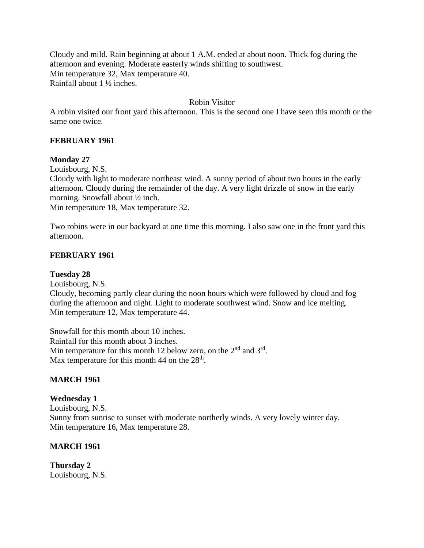Cloudy and mild. Rain beginning at about 1 A.M. ended at about noon. Thick fog during the afternoon and evening. Moderate easterly winds shifting to southwest. Min temperature 32, Max temperature 40. Rainfall about 1 ½ inches.

## Robin Visitor

A robin visited our front yard this afternoon. This is the second one I have seen this month or the same one twice.

## **FEBRUARY 1961**

### **Monday 27**

Louisbourg, N.S.

Cloudy with light to moderate northeast wind. A sunny period of about two hours in the early afternoon. Cloudy during the remainder of the day. A very light drizzle of snow in the early morning. Snowfall about ½ inch.

Min temperature 18, Max temperature 32.

Two robins were in our backyard at one time this morning. I also saw one in the front yard this afternoon.

## **FEBRUARY 1961**

### **Tuesday 28**

Louisbourg, N.S.

Cloudy, becoming partly clear during the noon hours which were followed by cloud and fog during the afternoon and night. Light to moderate southwest wind. Snow and ice melting. Min temperature 12, Max temperature 44.

Snowfall for this month about 10 inches. Rainfall for this month about 3 inches. Min temperature for this month 12 below zero, on the  $2<sup>nd</sup>$  and  $3<sup>rd</sup>$ . Max temperature for this month 44 on the  $28<sup>th</sup>$ .

## **MARCH 1961**

#### **Wednesday 1**

Louisbourg, N.S. Sunny from sunrise to sunset with moderate northerly winds. A very lovely winter day. Min temperature 16, Max temperature 28.

## **MARCH 1961**

**Thursday 2** Louisbourg, N.S.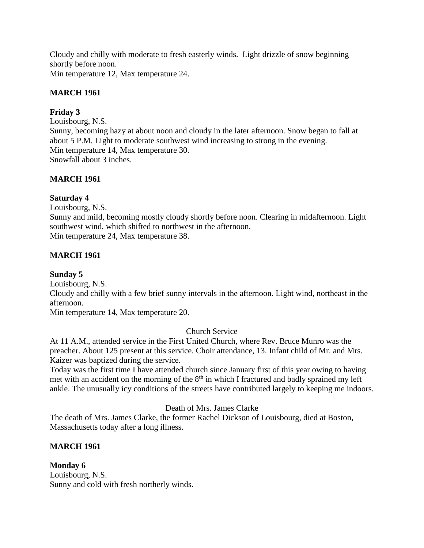Cloudy and chilly with moderate to fresh easterly winds. Light drizzle of snow beginning shortly before noon.

Min temperature 12, Max temperature 24.

# **MARCH 1961**

# **Friday 3**

Louisbourg, N.S. Sunny, becoming hazy at about noon and cloudy in the later afternoon. Snow began to fall at about 5 P.M. Light to moderate southwest wind increasing to strong in the evening. Min temperature 14, Max temperature 30. Snowfall about 3 inches.

# **MARCH 1961**

# **Saturday 4**

Louisbourg, N.S.

Sunny and mild, becoming mostly cloudy shortly before noon. Clearing in midafternoon. Light southwest wind, which shifted to northwest in the afternoon. Min temperature 24, Max temperature 38.

# **MARCH 1961**

# **Sunday 5**

Louisbourg, N.S.

Cloudy and chilly with a few brief sunny intervals in the afternoon. Light wind, northeast in the afternoon.

Min temperature 14, Max temperature 20.

# Church Service

At 11 A.M., attended service in the First United Church, where Rev. Bruce Munro was the preacher. About 125 present at this service. Choir attendance, 13. Infant child of Mr. and Mrs. Kaizer was baptized during the service.

Today was the first time I have attended church since January first of this year owing to having met with an accident on the morning of the  $8<sup>th</sup>$  in which I fractured and badly sprained my left ankle. The unusually icy conditions of the streets have contributed largely to keeping me indoors.

# Death of Mrs. James Clarke

The death of Mrs. James Clarke, the former Rachel Dickson of Louisbourg, died at Boston, Massachusetts today after a long illness.

# **MARCH 1961**

**Monday 6** Louisbourg, N.S. Sunny and cold with fresh northerly winds.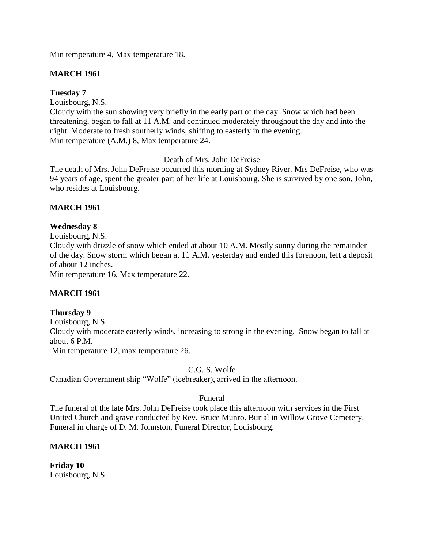Min temperature 4, Max temperature 18.

## **MARCH 1961**

## **Tuesday 7**

Louisbourg, N.S.

Cloudy with the sun showing very briefly in the early part of the day. Snow which had been threatening, began to fall at 11 A.M. and continued moderately throughout the day and into the night. Moderate to fresh southerly winds, shifting to easterly in the evening. Min temperature (A.M.) 8, Max temperature 24.

## Death of Mrs. John DeFreise

The death of Mrs. John DeFreise occurred this morning at Sydney River. Mrs DeFreise, who was 94 years of age, spent the greater part of her life at Louisbourg. She is survived by one son, John, who resides at Louisbourg.

## **MARCH 1961**

# **Wednesday 8**

Louisbourg, N.S.

Cloudy with drizzle of snow which ended at about 10 A.M. Mostly sunny during the remainder of the day. Snow storm which began at 11 A.M. yesterday and ended this forenoon, left a deposit of about 12 inches.

Min temperature 16, Max temperature 22.

# **MARCH 1961**

## **Thursday 9**

Louisbourg, N.S. Cloudy with moderate easterly winds, increasing to strong in the evening. Snow began to fall at about 6 P.M. Min temperature 12, max temperature 26.

## C.G. S. Wolfe

Canadian Government ship "Wolfe" (icebreaker), arrived in the afternoon.

## Funeral

The funeral of the late Mrs. John DeFreise took place this afternoon with services in the First United Church and grave conducted by Rev. Bruce Munro. Burial in Willow Grove Cemetery. Funeral in charge of D. M. Johnston, Funeral Director, Louisbourg.

## **MARCH 1961**

**Friday 10** Louisbourg, N.S.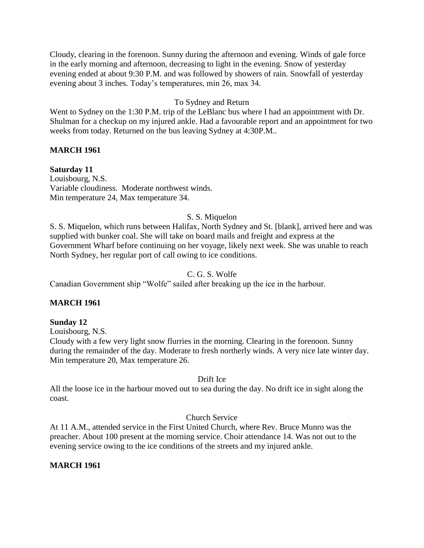Cloudy, clearing in the forenoon. Sunny during the afternoon and evening. Winds of gale force in the early morning and afternoon, decreasing to light in the evening. Snow of yesterday evening ended at about 9:30 P.M. and was followed by showers of rain. Snowfall of yesterday evening about 3 inches. Today's temperatures, min 26, max 34.

## To Sydney and Return

Went to Sydney on the 1:30 P.M. trip of the LeBlanc bus where I had an appointment with Dr. Shulman for a checkup on my injured ankle. Had a favourable report and an appointment for two weeks from today. Returned on the bus leaving Sydney at 4:30P.M..

## **MARCH 1961**

**Saturday 11**

Louisbourg, N.S. Variable cloudiness. Moderate northwest winds. Min temperature 24, Max temperature 34.

## S. S. Miquelon

S. S. Miquelon, which runs between Halifax, North Sydney and St. [blank], arrived here and was supplied with bunker coal. She will take on board mails and freight and express at the Government Wharf before continuing on her voyage, likely next week. She was unable to reach North Sydney, her regular port of call owing to ice conditions.

## C. G. S. Wolfe

Canadian Government ship "Wolfe" sailed after breaking up the ice in the harbour.

## **MARCH 1961**

## **Sunday 12**

Louisbourg, N.S.

Cloudy with a few very light snow flurries in the morning. Clearing in the forenoon. Sunny during the remainder of the day. Moderate to fresh northerly winds. A very nice late winter day. Min temperature 20, Max temperature 26.

## Drift Ice

All the loose ice in the harbour moved out to sea during the day. No drift ice in sight along the coast.

## Church Service

At 11 A.M., attended service in the First United Church, where Rev. Bruce Munro was the preacher. About 100 present at the morning service. Choir attendance 14. Was not out to the evening service owing to the ice conditions of the streets and my injured ankle.

## **MARCH 1961**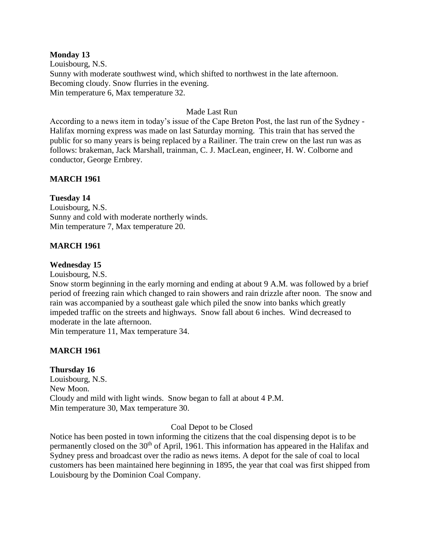## **Monday 13**

Louisbourg, N.S. Sunny with moderate southwest wind, which shifted to northwest in the late afternoon. Becoming cloudy. Snow flurries in the evening. Min temperature 6, Max temperature 32.

### Made Last Run

According to a news item in today's issue of the Cape Breton Post, the last run of the Sydney - Halifax morning express was made on last Saturday morning. This train that has served the public for so many years is being replaced by a Railiner. The train crew on the last run was as follows: brakeman, Jack Marshall, trainman, C. J. MacLean, engineer, H. W. Colborne and conductor, George Ernbrey.

## **MARCH 1961**

## **Tuesday 14**

Louisbourg, N.S. Sunny and cold with moderate northerly winds. Min temperature 7, Max temperature 20.

## **MARCH 1961**

### **Wednesday 15**

Louisbourg, N.S.

Snow storm beginning in the early morning and ending at about 9 A.M. was followed by a brief period of freezing rain which changed to rain showers and rain drizzle after noon. The snow and rain was accompanied by a southeast gale which piled the snow into banks which greatly impeded traffic on the streets and highways. Snow fall about 6 inches. Wind decreased to moderate in the late afternoon.

Min temperature 11, Max temperature 34.

## **MARCH 1961**

## **Thursday 16**

Louisbourg, N.S. New Moon. Cloudy and mild with light winds. Snow began to fall at about 4 P.M. Min temperature 30, Max temperature 30.

#### Coal Depot to be Closed

Notice has been posted in town informing the citizens that the coal dispensing depot is to be permanently closed on the 30<sup>th</sup> of April, 1961. This information has appeared in the Halifax and Sydney press and broadcast over the radio as news items. A depot for the sale of coal to local customers has been maintained here beginning in 1895, the year that coal was first shipped from Louisbourg by the Dominion Coal Company.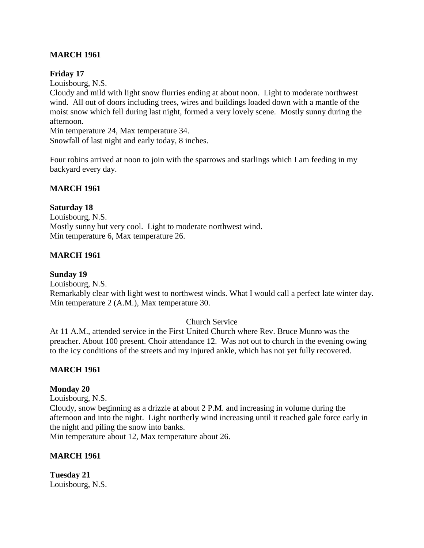# **MARCH 1961**

## **Friday 17**

Louisbourg, N.S.

Cloudy and mild with light snow flurries ending at about noon. Light to moderate northwest wind. All out of doors including trees, wires and buildings loaded down with a mantle of the moist snow which fell during last night, formed a very lovely scene. Mostly sunny during the afternoon.

Min temperature 24, Max temperature 34. Snowfall of last night and early today, 8 inches.

Four robins arrived at noon to join with the sparrows and starlings which I am feeding in my backyard every day.

## **MARCH 1961**

## **Saturday 18**

Louisbourg, N.S. Mostly sunny but very cool. Light to moderate northwest wind. Min temperature 6, Max temperature 26.

## **MARCH 1961**

**Sunday 19** Louisbourg, N.S. Remarkably clear with light west to northwest winds. What I would call a perfect late winter day. Min temperature 2 (A.M.), Max temperature 30.

## Church Service

At 11 A.M., attended service in the First United Church where Rev. Bruce Munro was the preacher. About 100 present. Choir attendance 12. Was not out to church in the evening owing to the icy conditions of the streets and my injured ankle, which has not yet fully recovered.

## **MARCH 1961**

## **Monday 20**

Louisbourg, N.S.

Cloudy, snow beginning as a drizzle at about 2 P.M. and increasing in volume during the afternoon and into the night. Light northerly wind increasing until it reached gale force early in the night and piling the snow into banks.

Min temperature about 12, Max temperature about 26.

## **MARCH 1961**

**Tuesday 21** Louisbourg, N.S.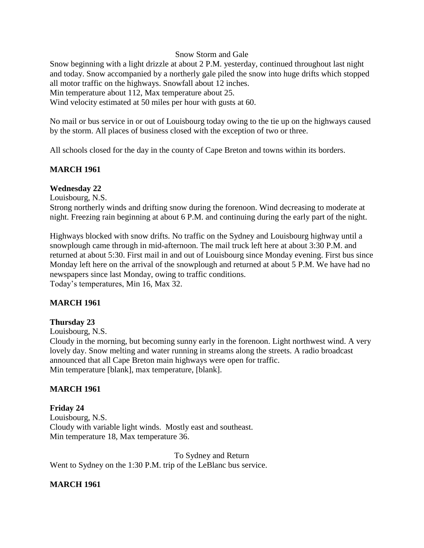### Snow Storm and Gale

Snow beginning with a light drizzle at about 2 P.M. yesterday, continued throughout last night and today. Snow accompanied by a northerly gale piled the snow into huge drifts which stopped all motor traffic on the highways. Snowfall about 12 inches. Min temperature about 112, Max temperature about 25. Wind velocity estimated at 50 miles per hour with gusts at 60.

No mail or bus service in or out of Louisbourg today owing to the tie up on the highways caused by the storm. All places of business closed with the exception of two or three.

All schools closed for the day in the county of Cape Breton and towns within its borders.

### **MARCH 1961**

### **Wednesday 22**

Louisbourg, N.S.

Strong northerly winds and drifting snow during the forenoon. Wind decreasing to moderate at night. Freezing rain beginning at about 6 P.M. and continuing during the early part of the night.

Highways blocked with snow drifts. No traffic on the Sydney and Louisbourg highway until a snowplough came through in mid-afternoon. The mail truck left here at about 3:30 P.M. and returned at about 5:30. First mail in and out of Louisbourg since Monday evening. First bus since Monday left here on the arrival of the snowplough and returned at about 5 P.M. We have had no newspapers since last Monday, owing to traffic conditions. Today's temperatures, Min 16, Max 32.

## **MARCH 1961**

#### **Thursday 23**

Louisbourg, N.S.

Cloudy in the morning, but becoming sunny early in the forenoon. Light northwest wind. A very lovely day. Snow melting and water running in streams along the streets. A radio broadcast announced that all Cape Breton main highways were open for traffic. Min temperature [blank], max temperature, [blank].

## **MARCH 1961**

**Friday 24** Louisbourg, N.S. Cloudy with variable light winds. Mostly east and southeast. Min temperature 18, Max temperature 36.

To Sydney and Return Went to Sydney on the 1:30 P.M. trip of the LeBlanc bus service.

#### **MARCH 1961**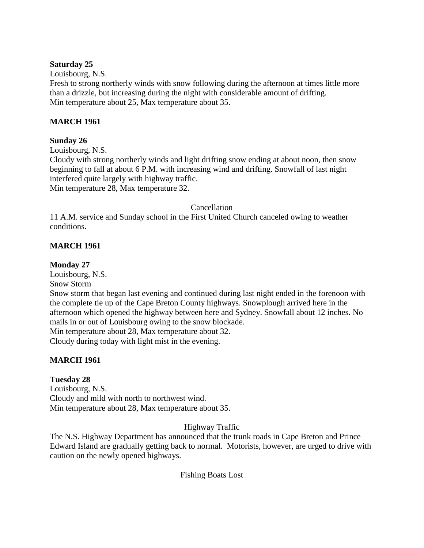## **Saturday 25**

Louisbourg, N.S.

Fresh to strong northerly winds with snow following during the afternoon at times little more than a drizzle, but increasing during the night with considerable amount of drifting. Min temperature about 25, Max temperature about 35.

# **MARCH 1961**

# **Sunday 26**

Louisbourg, N.S.

Cloudy with strong northerly winds and light drifting snow ending at about noon, then snow beginning to fall at about 6 P.M. with increasing wind and drifting. Snowfall of last night interfered quite largely with highway traffic.

Min temperature 28, Max temperature 32.

## **Cancellation**

11 A.M. service and Sunday school in the First United Church canceled owing to weather conditions.

# **MARCH 1961**

## **Monday 27**

Louisbourg, N.S.

Snow Storm

Snow storm that began last evening and continued during last night ended in the forenoon with the complete tie up of the Cape Breton County highways. Snowplough arrived here in the afternoon which opened the highway between here and Sydney. Snowfall about 12 inches. No mails in or out of Louisbourg owing to the snow blockade. Min temperature about 28, Max temperature about 32.

Cloudy during today with light mist in the evening.

# **MARCH 1961**

# **Tuesday 28**

Louisbourg, N.S. Cloudy and mild with north to northwest wind. Min temperature about 28, Max temperature about 35.

# Highway Traffic

The N.S. Highway Department has announced that the trunk roads in Cape Breton and Prince Edward Island are gradually getting back to normal. Motorists, however, are urged to drive with caution on the newly opened highways.

## Fishing Boats Lost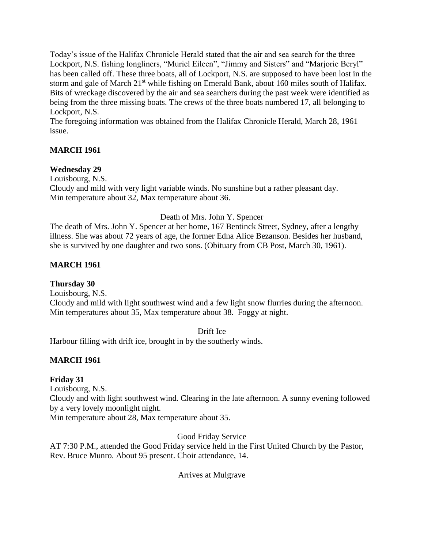Today's issue of the Halifax Chronicle Herald stated that the air and sea search for the three Lockport, N.S. fishing longliners, "Muriel Eileen", "Jimmy and Sisters" and "Marjorie Beryl" has been called off. These three boats, all of Lockport, N.S. are supposed to have been lost in the storm and gale of March 21<sup>st</sup> while fishing on Emerald Bank, about 160 miles south of Halifax. Bits of wreckage discovered by the air and sea searchers during the past week were identified as being from the three missing boats. The crews of the three boats numbered 17, all belonging to Lockport, N.S.

The foregoing information was obtained from the Halifax Chronicle Herald, March 28, 1961 issue.

# **MARCH 1961**

# **Wednesday 29**

Louisbourg, N.S.

Cloudy and mild with very light variable winds. No sunshine but a rather pleasant day. Min temperature about 32, Max temperature about 36.

# Death of Mrs. John Y. Spencer

The death of Mrs. John Y. Spencer at her home, 167 Bentinck Street, Sydney, after a lengthy illness. She was about 72 years of age, the former Edna Alice Bezanson. Besides her husband, she is survived by one daughter and two sons. (Obituary from CB Post, March 30, 1961).

# **MARCH 1961**

# **Thursday 30**

Louisbourg, N.S. Cloudy and mild with light southwest wind and a few light snow flurries during the afternoon. Min temperatures about 35, Max temperature about 38. Foggy at night.

# Drift Ice

Harbour filling with drift ice, brought in by the southerly winds.

# **MARCH 1961**

# **Friday 31**

Louisbourg, N.S.

Cloudy and with light southwest wind. Clearing in the late afternoon. A sunny evening followed by a very lovely moonlight night.

Min temperature about 28, Max temperature about 35.

Good Friday Service

AT 7:30 P.M., attended the Good Friday service held in the First United Church by the Pastor, Rev. Bruce Munro. About 95 present. Choir attendance, 14.

Arrives at Mulgrave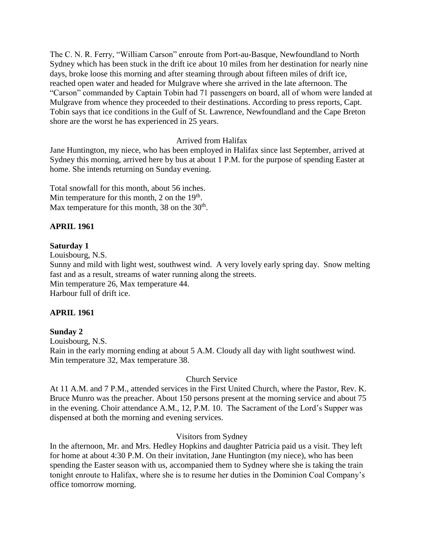The C. N. R. Ferry, "William Carson" enroute from Port-au-Basque, Newfoundland to North Sydney which has been stuck in the drift ice about 10 miles from her destination for nearly nine days, broke loose this morning and after steaming through about fifteen miles of drift ice, reached open water and headed for Mulgrave where she arrived in the late afternoon. The "Carson" commanded by Captain Tobin had 71 passengers on board, all of whom were landed at Mulgrave from whence they proceeded to their destinations. According to press reports, Capt. Tobin says that ice conditions in the Gulf of St. Lawrence, Newfoundland and the Cape Breton shore are the worst he has experienced in 25 years.

## Arrived from Halifax

Jane Huntington, my niece, who has been employed in Halifax since last September, arrived at Sydney this morning, arrived here by bus at about 1 P.M. for the purpose of spending Easter at home. She intends returning on Sunday evening.

Total snowfall for this month, about 56 inches. Min temperature for this month, 2 on the  $19<sup>th</sup>$ . Max temperature for this month, 38 on the  $30<sup>th</sup>$ .

## **APRIL 1961**

## **Saturday 1**

Louisbourg, N.S.

Sunny and mild with light west, southwest wind. A very lovely early spring day. Snow melting fast and as a result, streams of water running along the streets. Min temperature 26, Max temperature 44. Harbour full of drift ice.

## **APRIL 1961**

## **Sunday 2**

Louisbourg, N.S. Rain in the early morning ending at about 5 A.M. Cloudy all day with light southwest wind. Min temperature 32, Max temperature 38.

## Church Service

At 11 A.M. and 7 P.M., attended services in the First United Church, where the Pastor, Rev. K. Bruce Munro was the preacher. About 150 persons present at the morning service and about 75 in the evening. Choir attendance A.M., 12, P.M. 10. The Sacrament of the Lord's Supper was dispensed at both the morning and evening services.

## Visitors from Sydney

In the afternoon, Mr. and Mrs. Hedley Hopkins and daughter Patricia paid us a visit. They left for home at about 4:30 P.M. On their invitation, Jane Huntington (my niece), who has been spending the Easter season with us, accompanied them to Sydney where she is taking the train tonight enroute to Halifax, where she is to resume her duties in the Dominion Coal Company's office tomorrow morning.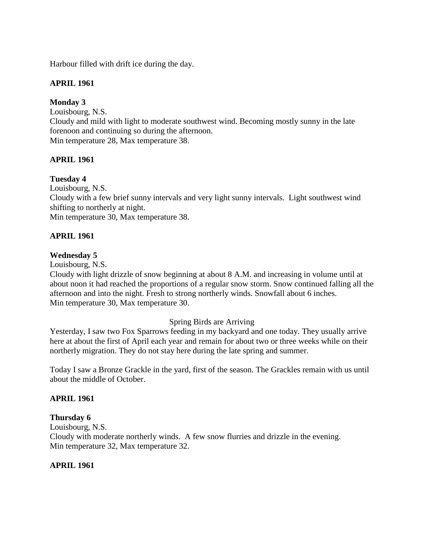Harbour filled with drift ice during the day.

# **APRIL 1961**

## **Monday 3**

Louisbourg, N.S. Cloudy and mild with light to moderate southwest wind. Becoming mostly sunny in the late forenoon and continuing so during the afternoon. Min temperature 28, Max temperature 38.

# **APRIL 1961**

# **Tuesday 4**

Louisbourg, N.S.

Cloudy with a few brief sunny intervals and very light sunny intervals. Light southwest wind shifting to northerly at night.

Min temperature 30, Max temperature 38.

## **APRIL 1961**

## **Wednesday 5**

Louisbourg, N.S.

Cloudy with light drizzle of snow beginning at about 8 A.M. and increasing in volume until at about noon it had reached the proportions of a regular snow storm. Snow continued falling all the afternoon and into the night. Fresh to strong northerly winds. Snowfall about 6 inches. Min temperature 30, Max temperature 30.

## Spring Birds are Arriving

Yesterday, I saw two Fox Sparrows feeding in my backyard and one today. They usually arrive here at about the first of April each year and remain for about two or three weeks while on their northerly migration. They do not stay here during the late spring and summer.

Today I saw a Bronze Grackle in the yard, first of the season. The Grackles remain with us until about the middle of October.

## **APRIL 1961**

## **Thursday 6**

Louisbourg, N.S. Cloudy with moderate northerly winds. A few snow flurries and drizzle in the evening. Min temperature 32, Max temperature 32.

## **APRIL 1961**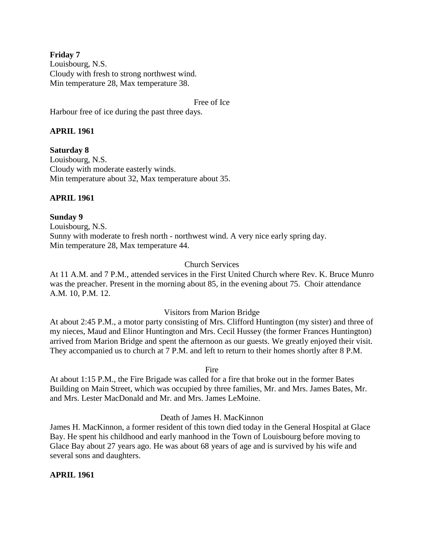**Friday 7** Louisbourg, N.S. Cloudy with fresh to strong northwest wind. Min temperature 28, Max temperature 38.

Free of Ice

Harbour free of ice during the past three days.

## **APRIL 1961**

**Saturday 8** Louisbourg, N.S. Cloudy with moderate easterly winds. Min temperature about 32, Max temperature about 35.

## **APRIL 1961**

#### **Sunday 9**

Louisbourg, N.S. Sunny with moderate to fresh north - northwest wind. A very nice early spring day. Min temperature 28, Max temperature 44.

### Church Services

At 11 A.M. and 7 P.M., attended services in the First United Church where Rev. K. Bruce Munro was the preacher. Present in the morning about 85, in the evening about 75. Choir attendance A.M. 10, P.M. 12.

#### Visitors from Marion Bridge

At about 2:45 P.M., a motor party consisting of Mrs. Clifford Huntington (my sister) and three of my nieces, Maud and Elinor Huntington and Mrs. Cecil Hussey (the former Frances Huntington) arrived from Marion Bridge and spent the afternoon as our guests. We greatly enjoyed their visit. They accompanied us to church at 7 P.M. and left to return to their homes shortly after 8 P.M.

Fire

At about 1:15 P.M., the Fire Brigade was called for a fire that broke out in the former Bates Building on Main Street, which was occupied by three families, Mr. and Mrs. James Bates, Mr. and Mrs. Lester MacDonald and Mr. and Mrs. James LeMoine.

## Death of James H. MacKinnon

James H. MacKinnon, a former resident of this town died today in the General Hospital at Glace Bay. He spent his childhood and early manhood in the Town of Louisbourg before moving to Glace Bay about 27 years ago. He was about 68 years of age and is survived by his wife and several sons and daughters.

## **APRIL 1961**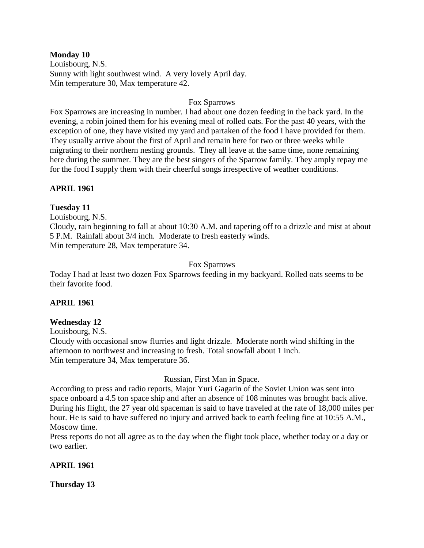### **Monday 10**

Louisbourg, N.S. Sunny with light southwest wind. A very lovely April day. Min temperature 30, Max temperature 42.

## Fox Sparrows

Fox Sparrows are increasing in number. I had about one dozen feeding in the back yard. In the evening, a robin joined them for his evening meal of rolled oats. For the past 40 years, with the exception of one, they have visited my yard and partaken of the food I have provided for them. They usually arrive about the first of April and remain here for two or three weeks while migrating to their northern nesting grounds. They all leave at the same time, none remaining here during the summer. They are the best singers of the Sparrow family. They amply repay me for the food I supply them with their cheerful songs irrespective of weather conditions.

## **APRIL 1961**

## **Tuesday 11**

Louisbourg, N.S.

Cloudy, rain beginning to fall at about 10:30 A.M. and tapering off to a drizzle and mist at about 5 P.M. Rainfall about 3/4 inch. Moderate to fresh easterly winds. Min temperature 28, Max temperature 34.

## Fox Sparrows

Today I had at least two dozen Fox Sparrows feeding in my backyard. Rolled oats seems to be their favorite food.

# **APRIL 1961**

## **Wednesday 12**

Louisbourg, N.S.

Cloudy with occasional snow flurries and light drizzle. Moderate north wind shifting in the afternoon to northwest and increasing to fresh. Total snowfall about 1 inch. Min temperature 34, Max temperature 36.

# Russian, First Man in Space.

According to press and radio reports, Major Yuri Gagarin of the Soviet Union was sent into space onboard a 4.5 ton space ship and after an absence of 108 minutes was brought back alive. During his flight, the 27 year old spaceman is said to have traveled at the rate of 18,000 miles per hour. He is said to have suffered no injury and arrived back to earth feeling fine at 10:55 A.M., Moscow time.

Press reports do not all agree as to the day when the flight took place, whether today or a day or two earlier.

# **APRIL 1961**

**Thursday 13**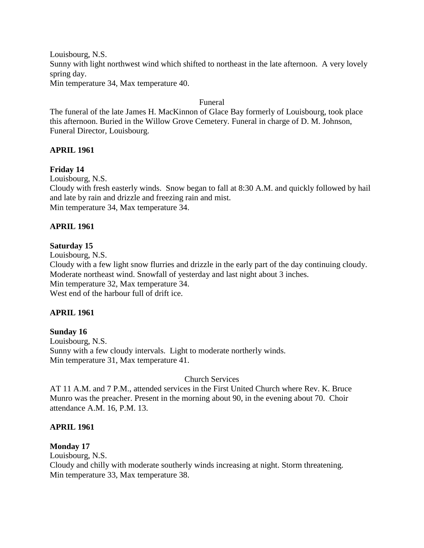Louisbourg, N.S. Sunny with light northwest wind which shifted to northeast in the late afternoon. A very lovely spring day. Min temperature 34, Max temperature 40.

#### Funeral

The funeral of the late James H. MacKinnon of Glace Bay formerly of Louisbourg, took place this afternoon. Buried in the Willow Grove Cemetery. Funeral in charge of D. M. Johnson, Funeral Director, Louisbourg.

## **APRIL 1961**

## **Friday 14**

Louisbourg, N.S.

Cloudy with fresh easterly winds. Snow began to fall at 8:30 A.M. and quickly followed by hail and late by rain and drizzle and freezing rain and mist. Min temperature 34, Max temperature 34.

## **APRIL 1961**

### **Saturday 15**

Louisbourg, N.S.

Cloudy with a few light snow flurries and drizzle in the early part of the day continuing cloudy. Moderate northeast wind. Snowfall of yesterday and last night about 3 inches. Min temperature 32, Max temperature 34. West end of the harbour full of drift ice.

## **APRIL 1961**

#### **Sunday 16**

Louisbourg, N.S. Sunny with a few cloudy intervals. Light to moderate northerly winds. Min temperature 31, Max temperature 41.

## Church Services

AT 11 A.M. and 7 P.M., attended services in the First United Church where Rev. K. Bruce Munro was the preacher. Present in the morning about 90, in the evening about 70. Choir attendance A.M. 16, P.M. 13.

#### **APRIL 1961**

## **Monday 17**

Louisbourg, N.S.

Cloudy and chilly with moderate southerly winds increasing at night. Storm threatening. Min temperature 33, Max temperature 38.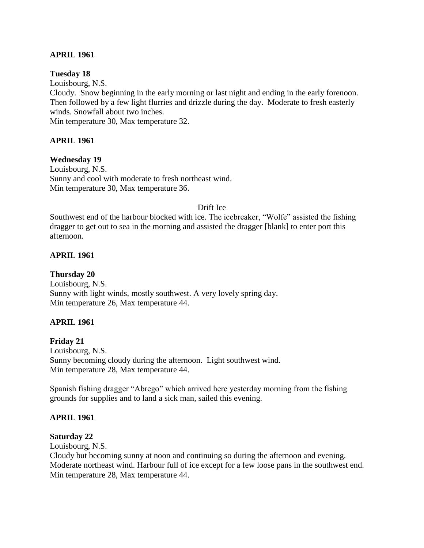## **APRIL 1961**

**Tuesday 18**

Louisbourg, N.S. Cloudy. Snow beginning in the early morning or last night and ending in the early forenoon. Then followed by a few light flurries and drizzle during the day. Moderate to fresh easterly winds. Snowfall about two inches. Min temperature 30, Max temperature 32.

## **APRIL 1961**

## **Wednesday 19**

Louisbourg, N.S. Sunny and cool with moderate to fresh northeast wind. Min temperature 30, Max temperature 36.

### Drift Ice

Southwest end of the harbour blocked with ice. The icebreaker, "Wolfe" assisted the fishing dragger to get out to sea in the morning and assisted the dragger [blank] to enter port this afternoon.

## **APRIL 1961**

**Thursday 20** Louisbourg, N.S. Sunny with light winds, mostly southwest. A very lovely spring day. Min temperature 26, Max temperature 44.

## **APRIL 1961**

**Friday 21** Louisbourg, N.S. Sunny becoming cloudy during the afternoon. Light southwest wind. Min temperature 28, Max temperature 44.

Spanish fishing dragger "Abrego" which arrived here yesterday morning from the fishing grounds for supplies and to land a sick man, sailed this evening.

## **APRIL 1961**

## **Saturday 22**

Louisbourg, N.S.

Cloudy but becoming sunny at noon and continuing so during the afternoon and evening. Moderate northeast wind. Harbour full of ice except for a few loose pans in the southwest end. Min temperature 28, Max temperature 44.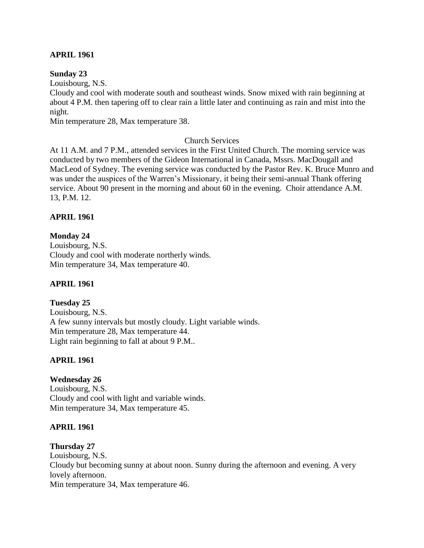## **APRIL 1961**

### **Sunday 23**

Louisbourg, N.S.

Cloudy and cool with moderate south and southeast winds. Snow mixed with rain beginning at about 4 P.M. then tapering off to clear rain a little later and continuing as rain and mist into the night.

Min temperature 28, Max temperature 38.

## Church Services

At 11 A.M. and 7 P.M., attended services in the First United Church. The morning service was conducted by two members of the Gideon International in Canada, Mssrs. MacDougall and MacLeod of Sydney. The evening service was conducted by the Pastor Rev. K. Bruce Munro and was under the auspices of the Warren's Missionary, it being their semi-annual Thank offering service. About 90 present in the morning and about 60 in the evening. Choir attendance A.M. 13, P.M. 12.

## **APRIL 1961**

## **Monday 24**

Louisbourg, N.S. Cloudy and cool with moderate northerly winds. Min temperature 34, Max temperature 40.

## **APRIL 1961**

## **Tuesday 25**

Louisbourg, N.S. A few sunny intervals but mostly cloudy. Light variable winds. Min temperature 28, Max temperature 44. Light rain beginning to fall at about 9 P.M..

# **APRIL 1961**

## **Wednesday 26**

Louisbourg, N.S. Cloudy and cool with light and variable winds. Min temperature 34, Max temperature 45.

## **APRIL 1961**

## **Thursday 27**

Louisbourg, N.S. Cloudy but becoming sunny at about noon. Sunny during the afternoon and evening. A very lovely afternoon. Min temperature 34, Max temperature 46.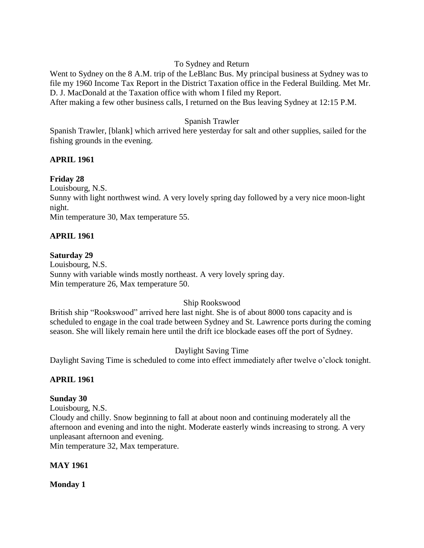## To Sydney and Return

Went to Sydney on the 8 A.M. trip of the LeBlanc Bus. My principal business at Sydney was to file my 1960 Income Tax Report in the District Taxation office in the Federal Building. Met Mr. D. J. MacDonald at the Taxation office with whom I filed my Report. After making a few other business calls, I returned on the Bus leaving Sydney at 12:15 P.M.

## Spanish Trawler

Spanish Trawler, [blank] which arrived here yesterday for salt and other supplies, sailed for the fishing grounds in the evening.

## **APRIL 1961**

## **Friday 28**

Louisbourg, N.S.

Sunny with light northwest wind. A very lovely spring day followed by a very nice moon-light night.

Min temperature 30, Max temperature 55.

## **APRIL 1961**

## **Saturday 29**

Louisbourg, N.S. Sunny with variable winds mostly northeast. A very lovely spring day. Min temperature 26, Max temperature 50.

## Ship Rookswood

British ship "Rookswood" arrived here last night. She is of about 8000 tons capacity and is scheduled to engage in the coal trade between Sydney and St. Lawrence ports during the coming season. She will likely remain here until the drift ice blockade eases off the port of Sydney.

## Daylight Saving Time

Daylight Saving Time is scheduled to come into effect immediately after twelve o'clock tonight.

## **APRIL 1961**

## **Sunday 30**

Louisbourg, N.S.

Cloudy and chilly. Snow beginning to fall at about noon and continuing moderately all the afternoon and evening and into the night. Moderate easterly winds increasing to strong. A very unpleasant afternoon and evening.

Min temperature 32, Max temperature.

## **MAY 1961**

**Monday 1**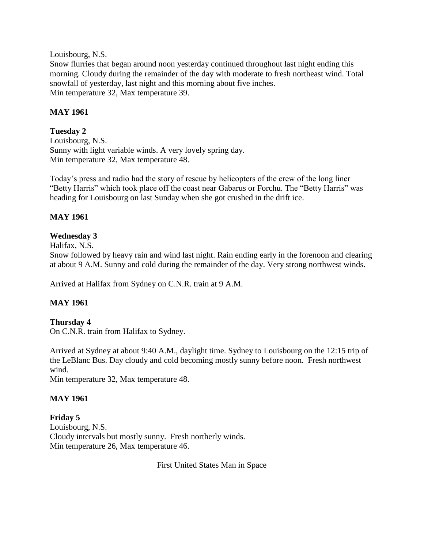Louisbourg, N.S.

Snow flurries that began around noon yesterday continued throughout last night ending this morning. Cloudy during the remainder of the day with moderate to fresh northeast wind. Total snowfall of yesterday, last night and this morning about five inches. Min temperature 32, Max temperature 39.

# **MAY 1961**

# **Tuesday 2**

Louisbourg, N.S. Sunny with light variable winds. A very lovely spring day. Min temperature 32, Max temperature 48.

Today's press and radio had the story of rescue by helicopters of the crew of the long liner "Betty Harris" which took place off the coast near Gabarus or Forchu. The "Betty Harris" was heading for Louisbourg on last Sunday when she got crushed in the drift ice.

# **MAY 1961**

# **Wednesday 3**

Halifax, N.S.

Snow followed by heavy rain and wind last night. Rain ending early in the forenoon and clearing at about 9 A.M. Sunny and cold during the remainder of the day. Very strong northwest winds.

Arrived at Halifax from Sydney on C.N.R. train at 9 A.M.

# **MAY 1961**

# **Thursday 4**

On C.N.R. train from Halifax to Sydney.

Arrived at Sydney at about 9:40 A.M., daylight time. Sydney to Louisbourg on the 12:15 trip of the LeBlanc Bus. Day cloudy and cold becoming mostly sunny before noon. Fresh northwest wind.

Min temperature 32, Max temperature 48.

# **MAY 1961**

**Friday 5** Louisbourg, N.S. Cloudy intervals but mostly sunny. Fresh northerly winds. Min temperature 26, Max temperature 46.

First United States Man in Space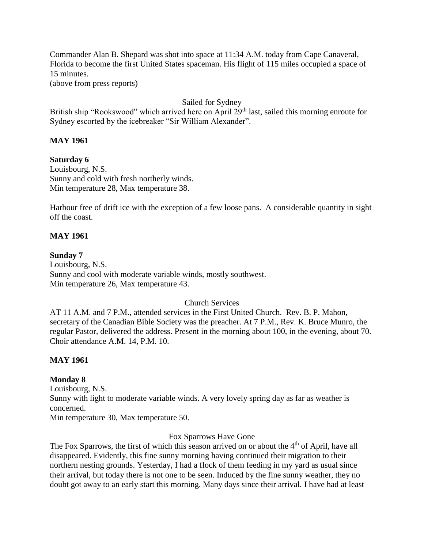Commander Alan B. Shepard was shot into space at 11:34 A.M. today from Cape Canaveral, Florida to become the first United States spaceman. His flight of 115 miles occupied a space of 15 minutes.

(above from press reports)

## Sailed for Sydney

British ship "Rookswood" which arrived here on April 29<sup>th</sup> last, sailed this morning enroute for Sydney escorted by the icebreaker "Sir William Alexander".

## **MAY 1961**

# **Saturday 6**

Louisbourg, N.S. Sunny and cold with fresh northerly winds. Min temperature 28, Max temperature 38.

Harbour free of drift ice with the exception of a few loose pans. A considerable quantity in sight off the coast.

## **MAY 1961**

## **Sunday 7**

Louisbourg, N.S. Sunny and cool with moderate variable winds, mostly southwest. Min temperature 26, Max temperature 43.

## Church Services

AT 11 A.M. and 7 P.M., attended services in the First United Church. Rev. B. P. Mahon, secretary of the Canadian Bible Society was the preacher. At 7 P.M., Rev. K. Bruce Munro, the regular Pastor, delivered the address. Present in the morning about 100, in the evening, about 70. Choir attendance A.M. 14, P.M. 10.

## **MAY 1961**

## **Monday 8**

Louisbourg, N.S. Sunny with light to moderate variable winds. A very lovely spring day as far as weather is concerned.

Min temperature 30, Max temperature 50.

## Fox Sparrows Have Gone

The Fox Sparrows, the first of which this season arrived on or about the 4<sup>th</sup> of April, have all disappeared. Evidently, this fine sunny morning having continued their migration to their northern nesting grounds. Yesterday, I had a flock of them feeding in my yard as usual since their arrival, but today there is not one to be seen. Induced by the fine sunny weather, they no doubt got away to an early start this morning. Many days since their arrival. I have had at least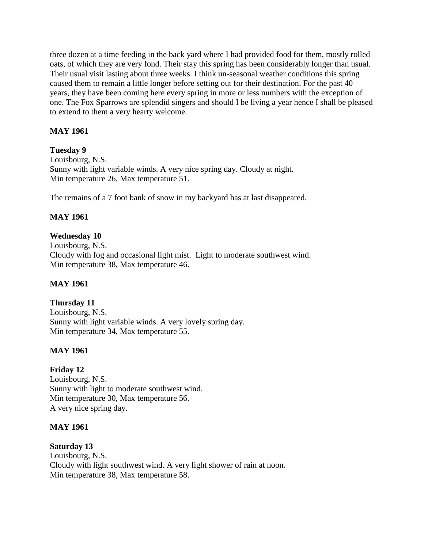three dozen at a time feeding in the back yard where I had provided food for them, mostly rolled oats, of which they are very fond. Their stay this spring has been considerably longer than usual. Their usual visit lasting about three weeks. I think un-seasonal weather conditions this spring caused them to remain a little longer before setting out for their destination. For the past 40 years, they have been coming here every spring in more or less numbers with the exception of one. The Fox Sparrows are splendid singers and should I be living a year hence I shall be pleased to extend to them a very hearty welcome.

# **MAY 1961**

# **Tuesday 9**

Louisbourg, N.S. Sunny with light variable winds. A very nice spring day. Cloudy at night. Min temperature 26, Max temperature 51.

The remains of a 7 foot bank of snow in my backyard has at last disappeared.

# **MAY 1961**

# **Wednesday 10**

Louisbourg, N.S. Cloudy with fog and occasional light mist. Light to moderate southwest wind. Min temperature 38, Max temperature 46.

# **MAY 1961**

# **Thursday 11**

Louisbourg, N.S. Sunny with light variable winds. A very lovely spring day. Min temperature 34, Max temperature 55.

# **MAY 1961**

# **Friday 12**

Louisbourg, N.S. Sunny with light to moderate southwest wind. Min temperature 30, Max temperature 56. A very nice spring day.

## **MAY 1961**

## **Saturday 13**

Louisbourg, N.S. Cloudy with light southwest wind. A very light shower of rain at noon. Min temperature 38, Max temperature 58.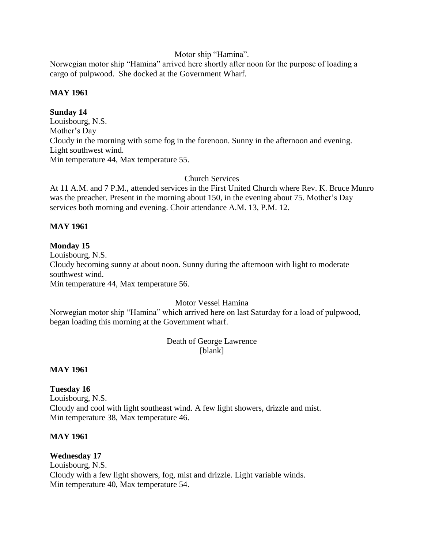## Motor ship "Hamina".

Norwegian motor ship "Hamina" arrived here shortly after noon for the purpose of loading a cargo of pulpwood. She docked at the Government Wharf.

# **MAY 1961**

# **Sunday 14**

Louisbourg, N.S. Mother's Day Cloudy in the morning with some fog in the forenoon. Sunny in the afternoon and evening. Light southwest wind. Min temperature 44, Max temperature 55.

Church Services

At 11 A.M. and 7 P.M., attended services in the First United Church where Rev. K. Bruce Munro was the preacher. Present in the morning about 150, in the evening about 75. Mother's Day services both morning and evening. Choir attendance A.M. 13, P.M. 12.

# **MAY 1961**

# **Monday 15**

Louisbourg, N.S. Cloudy becoming sunny at about noon. Sunny during the afternoon with light to moderate southwest wind. Min temperature 44, Max temperature 56.

# Motor Vessel Hamina

Norwegian motor ship "Hamina" which arrived here on last Saturday for a load of pulpwood, began loading this morning at the Government wharf.

# Death of George Lawrence [blank]

# **MAY 1961**

**Tuesday 16** Louisbourg, N.S. Cloudy and cool with light southeast wind. A few light showers, drizzle and mist. Min temperature 38, Max temperature 46.

# **MAY 1961**

# **Wednesday 17**

Louisbourg, N.S. Cloudy with a few light showers, fog, mist and drizzle. Light variable winds. Min temperature 40, Max temperature 54.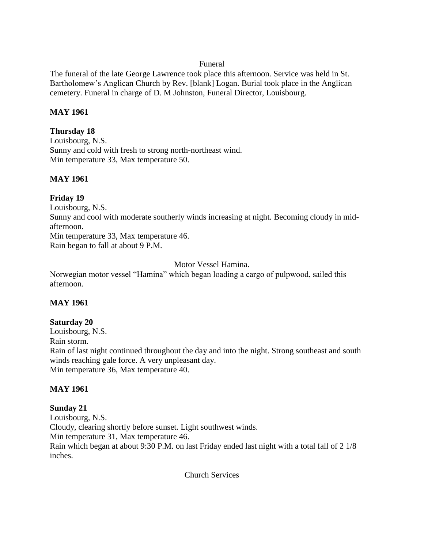## Funeral

The funeral of the late George Lawrence took place this afternoon. Service was held in St. Bartholomew's Anglican Church by Rev. [blank] Logan. Burial took place in the Anglican cemetery. Funeral in charge of D. M Johnston, Funeral Director, Louisbourg.

## **MAY 1961**

## **Thursday 18**

Louisbourg, N.S. Sunny and cold with fresh to strong north-northeast wind. Min temperature 33, Max temperature 50.

# **MAY 1961**

# **Friday 19**

Louisbourg, N.S. Sunny and cool with moderate southerly winds increasing at night. Becoming cloudy in midafternoon. Min temperature 33, Max temperature 46. Rain began to fall at about 9 P.M.

# Motor Vessel Hamina.

Norwegian motor vessel "Hamina" which began loading a cargo of pulpwood, sailed this afternoon.

# **MAY 1961**

# **Saturday 20**

Louisbourg, N.S. Rain storm. Rain of last night continued throughout the day and into the night. Strong southeast and south winds reaching gale force. A very unpleasant day. Min temperature 36, Max temperature 40.

# **MAY 1961**

## **Sunday 21** Louisbourg, N.S. Cloudy, clearing shortly before sunset. Light southwest winds. Min temperature 31, Max temperature 46. Rain which began at about 9:30 P.M. on last Friday ended last night with a total fall of 2 1/8 inches.

Church Services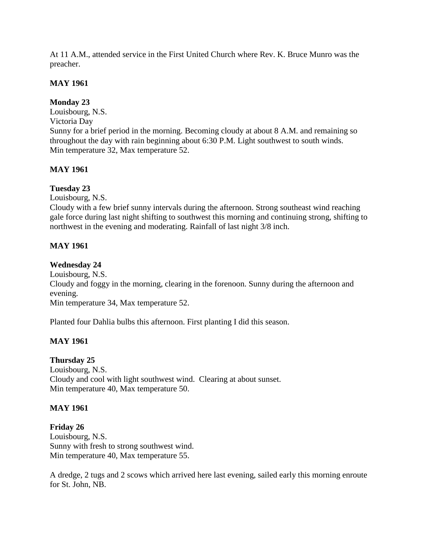At 11 A.M., attended service in the First United Church where Rev. K. Bruce Munro was the preacher.

## **MAY 1961**

# **Monday 23**

Louisbourg, N.S. Victoria Day Sunny for a brief period in the morning. Becoming cloudy at about 8 A.M. and remaining so throughout the day with rain beginning about 6:30 P.M. Light southwest to south winds. Min temperature 32, Max temperature 52.

# **MAY 1961**

# **Tuesday 23**

Louisbourg, N.S.

Cloudy with a few brief sunny intervals during the afternoon. Strong southeast wind reaching gale force during last night shifting to southwest this morning and continuing strong, shifting to northwest in the evening and moderating. Rainfall of last night 3/8 inch.

# **MAY 1961**

# **Wednesday 24**

Louisbourg, N.S.

Cloudy and foggy in the morning, clearing in the forenoon. Sunny during the afternoon and evening.

Min temperature 34, Max temperature 52.

Planted four Dahlia bulbs this afternoon. First planting I did this season.

# **MAY 1961**

# **Thursday 25**

Louisbourg, N.S. Cloudy and cool with light southwest wind. Clearing at about sunset. Min temperature 40, Max temperature 50.

# **MAY 1961**

# **Friday 26**

Louisbourg, N.S. Sunny with fresh to strong southwest wind. Min temperature 40, Max temperature 55.

A dredge, 2 tugs and 2 scows which arrived here last evening, sailed early this morning enroute for St. John, NB.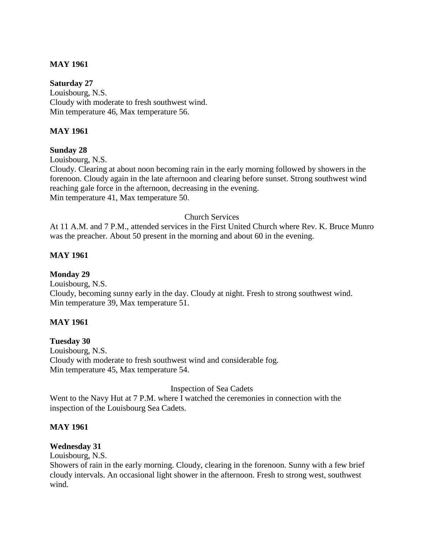# **MAY 1961**

**Saturday 27** Louisbourg, N.S. Cloudy with moderate to fresh southwest wind. Min temperature 46, Max temperature 56.

# **MAY 1961**

# **Sunday 28**

Louisbourg, N.S.

Cloudy. Clearing at about noon becoming rain in the early morning followed by showers in the forenoon. Cloudy again in the late afternoon and clearing before sunset. Strong southwest wind reaching gale force in the afternoon, decreasing in the evening. Min temperature 41, Max temperature 50.

## Church Services

At 11 A.M. and 7 P.M., attended services in the First United Church where Rev. K. Bruce Munro was the preacher. About 50 present in the morning and about 60 in the evening.

# **MAY 1961**

**Monday 29** Louisbourg, N.S. Cloudy, becoming sunny early in the day. Cloudy at night. Fresh to strong southwest wind. Min temperature 39, Max temperature 51.

### **MAY 1961**

**Tuesday 30** Louisbourg, N.S. Cloudy with moderate to fresh southwest wind and considerable fog. Min temperature 45, Max temperature 54.

Inspection of Sea Cadets

Went to the Navy Hut at 7 P.M. where I watched the ceremonies in connection with the inspection of the Louisbourg Sea Cadets.

# **MAY 1961**

# **Wednesday 31**

Louisbourg, N.S.

Showers of rain in the early morning. Cloudy, clearing in the forenoon. Sunny with a few brief cloudy intervals. An occasional light shower in the afternoon. Fresh to strong west, southwest wind.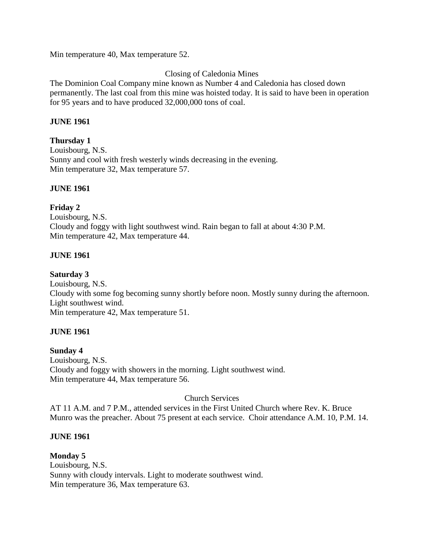Min temperature 40, Max temperature 52.

# Closing of Caledonia Mines

The Dominion Coal Company mine known as Number 4 and Caledonia has closed down permanently. The last coal from this mine was hoisted today. It is said to have been in operation for 95 years and to have produced 32,000,000 tons of coal.

## **JUNE 1961**

## **Thursday 1**

Louisbourg, N.S. Sunny and cool with fresh westerly winds decreasing in the evening. Min temperature 32, Max temperature 57.

# **JUNE 1961**

# **Friday 2**

Louisbourg, N.S. Cloudy and foggy with light southwest wind. Rain began to fall at about 4:30 P.M. Min temperature 42, Max temperature 44.

# **JUNE 1961**

# **Saturday 3**

Louisbourg, N.S. Cloudy with some fog becoming sunny shortly before noon. Mostly sunny during the afternoon. Light southwest wind. Min temperature 42, Max temperature 51.

### **JUNE 1961**

### **Sunday 4**

Louisbourg, N.S. Cloudy and foggy with showers in the morning. Light southwest wind. Min temperature 44, Max temperature 56.

Church Services

AT 11 A.M. and 7 P.M., attended services in the First United Church where Rev. K. Bruce Munro was the preacher. About 75 present at each service. Choir attendance A.M. 10, P.M. 14.

### **JUNE 1961**

**Monday 5** Louisbourg, N.S. Sunny with cloudy intervals. Light to moderate southwest wind. Min temperature 36, Max temperature 63.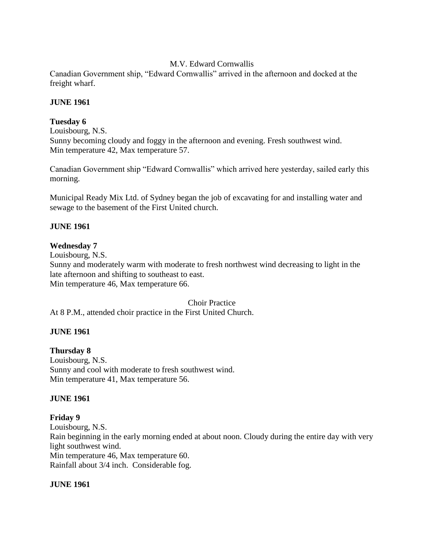# M.V. Edward Cornwallis

Canadian Government ship, "Edward Cornwallis" arrived in the afternoon and docked at the freight wharf.

## **JUNE 1961**

# **Tuesday 6**

Louisbourg, N.S. Sunny becoming cloudy and foggy in the afternoon and evening. Fresh southwest wind. Min temperature 42, Max temperature 57.

Canadian Government ship "Edward Cornwallis" which arrived here yesterday, sailed early this morning.

Municipal Ready Mix Ltd. of Sydney began the job of excavating for and installing water and sewage to the basement of the First United church.

# **JUNE 1961**

# **Wednesday 7**

Louisbourg, N.S. Sunny and moderately warm with moderate to fresh northwest wind decreasing to light in the late afternoon and shifting to southeast to east. Min temperature 46, Max temperature 66.

Choir Practice At 8 P.M., attended choir practice in the First United Church.

# **JUNE 1961**

# **Thursday 8**

Louisbourg, N.S. Sunny and cool with moderate to fresh southwest wind. Min temperature 41, Max temperature 56.

### **JUNE 1961**

### **Friday 9**

Louisbourg, N.S. Rain beginning in the early morning ended at about noon. Cloudy during the entire day with very light southwest wind. Min temperature 46, Max temperature 60. Rainfall about 3/4 inch. Considerable fog.

### **JUNE 1961**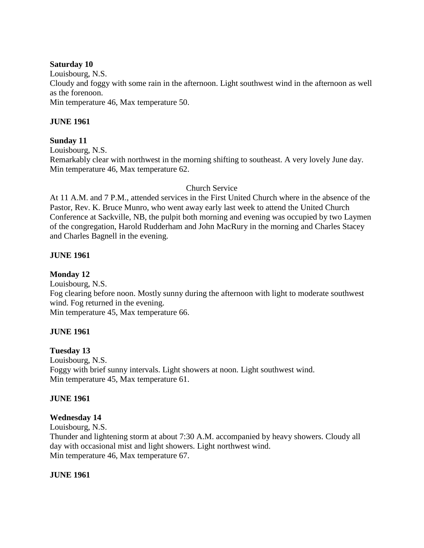### **Saturday 10**

Louisbourg, N.S. Cloudy and foggy with some rain in the afternoon. Light southwest wind in the afternoon as well as the forenoon. Min temperature 46, Max temperature 50.

# **JUNE 1961**

# **Sunday 11**

Louisbourg, N.S.

Remarkably clear with northwest in the morning shifting to southeast. A very lovely June day. Min temperature 46, Max temperature 62.

# Church Service

At 11 A.M. and 7 P.M., attended services in the First United Church where in the absence of the Pastor, Rev. K. Bruce Munro, who went away early last week to attend the United Church Conference at Sackville, NB, the pulpit both morning and evening was occupied by two Laymen of the congregation, Harold Rudderham and John MacRury in the morning and Charles Stacey and Charles Bagnell in the evening.

# **JUNE 1961**

**Monday 12**

Louisbourg, N.S. Fog clearing before noon. Mostly sunny during the afternoon with light to moderate southwest wind. Fog returned in the evening. Min temperature 45, Max temperature 66.

# **JUNE 1961**

### **Tuesday 13**

Louisbourg, N.S. Foggy with brief sunny intervals. Light showers at noon. Light southwest wind. Min temperature 45, Max temperature 61.

### **JUNE 1961**

# **Wednesday 14**

Louisbourg, N.S. Thunder and lightening storm at about 7:30 A.M. accompanied by heavy showers. Cloudy all day with occasional mist and light showers. Light northwest wind. Min temperature 46, Max temperature 67.

### **JUNE 1961**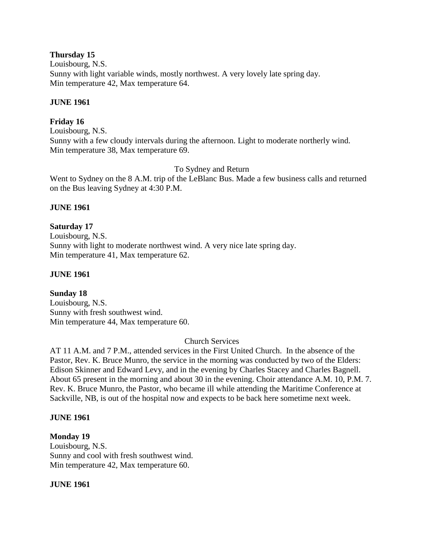## **Thursday 15**

Louisbourg, N.S. Sunny with light variable winds, mostly northwest. A very lovely late spring day. Min temperature 42, Max temperature 64.

# **JUNE 1961**

# **Friday 16**

Louisbourg, N.S. Sunny with a few cloudy intervals during the afternoon. Light to moderate northerly wind. Min temperature 38, Max temperature 69.

### To Sydney and Return

Went to Sydney on the 8 A.M. trip of the LeBlanc Bus. Made a few business calls and returned on the Bus leaving Sydney at 4:30 P.M.

# **JUNE 1961**

# **Saturday 17**

Louisbourg, N.S. Sunny with light to moderate northwest wind. A very nice late spring day. Min temperature 41, Max temperature 62.

## **JUNE 1961**

# **Sunday 18**

Louisbourg, N.S. Sunny with fresh southwest wind. Min temperature 44, Max temperature 60.

### Church Services

AT 11 A.M. and 7 P.M., attended services in the First United Church. In the absence of the Pastor, Rev. K. Bruce Munro, the service in the morning was conducted by two of the Elders: Edison Skinner and Edward Levy, and in the evening by Charles Stacey and Charles Bagnell. About 65 present in the morning and about 30 in the evening. Choir attendance A.M. 10, P.M. 7. Rev. K. Bruce Munro, the Pastor, who became ill while attending the Maritime Conference at Sackville, NB, is out of the hospital now and expects to be back here sometime next week.

### **JUNE 1961**

### **Monday 19**

Louisbourg, N.S. Sunny and cool with fresh southwest wind. Min temperature 42, Max temperature 60.

### **JUNE 1961**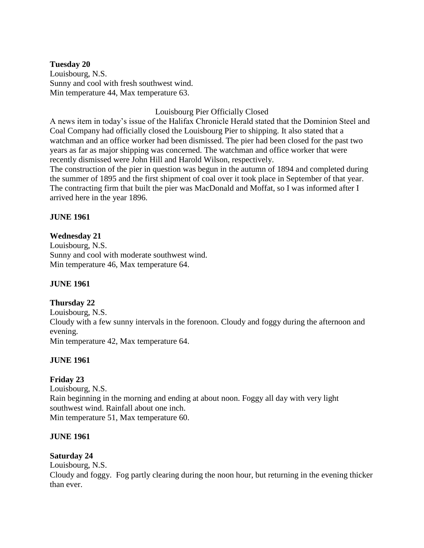**Tuesday 20** Louisbourg, N.S. Sunny and cool with fresh southwest wind. Min temperature 44, Max temperature 63.

Louisbourg Pier Officially Closed

A news item in today's issue of the Halifax Chronicle Herald stated that the Dominion Steel and Coal Company had officially closed the Louisbourg Pier to shipping. It also stated that a watchman and an office worker had been dismissed. The pier had been closed for the past two years as far as major shipping was concerned. The watchman and office worker that were recently dismissed were John Hill and Harold Wilson, respectively.

The construction of the pier in question was begun in the autumn of 1894 and completed during the summer of 1895 and the first shipment of coal over it took place in September of that year. The contracting firm that built the pier was MacDonald and Moffat, so I was informed after I arrived here in the year 1896.

# **JUNE 1961**

# **Wednesday 21**

Louisbourg, N.S. Sunny and cool with moderate southwest wind. Min temperature 46, Max temperature 64.

### **JUNE 1961**

### **Thursday 22**

Louisbourg, N.S. Cloudy with a few sunny intervals in the forenoon. Cloudy and foggy during the afternoon and evening. Min temperature 42, Max temperature 64.

### **JUNE 1961**

# **Friday 23**

Louisbourg, N.S. Rain beginning in the morning and ending at about noon. Foggy all day with very light southwest wind. Rainfall about one inch. Min temperature 51, Max temperature 60.

### **JUNE 1961**

### **Saturday 24**

Louisbourg, N.S.

Cloudy and foggy. Fog partly clearing during the noon hour, but returning in the evening thicker than ever.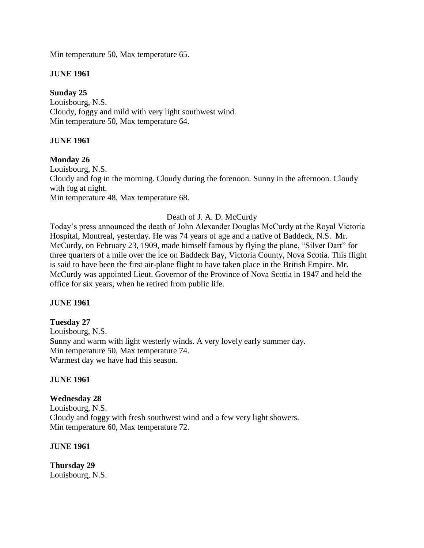Min temperature 50, Max temperature 65.

# **JUNE 1961**

# **Sunday 25**

Louisbourg, N.S. Cloudy, foggy and mild with very light southwest wind. Min temperature 50, Max temperature 64.

# **JUNE 1961**

# **Monday 26**

Louisbourg, N.S. Cloudy and fog in the morning. Cloudy during the forenoon. Sunny in the afternoon. Cloudy with fog at night. Min temperature 48, Max temperature 68.

# Death of J. A. D. McCurdy

Today's press announced the death of John Alexander Douglas McCurdy at the Royal Victoria Hospital, Montreal, yesterday. He was 74 years of age and a native of Baddeck, N.S. Mr. McCurdy, on February 23, 1909, made himself famous by flying the plane, "Silver Dart" for three quarters of a mile over the ice on Baddeck Bay, Victoria County, Nova Scotia. This flight is said to have been the first air-plane flight to have taken place in the British Empire. Mr. McCurdy was appointed Lieut. Governor of the Province of Nova Scotia in 1947 and held the office for six years, when he retired from public life.

# **JUNE 1961**

# **Tuesday 27**

Louisbourg, N.S. Sunny and warm with light westerly winds. A very lovely early summer day. Min temperature 50, Max temperature 74. Warmest day we have had this season.

# **JUNE 1961**

# **Wednesday 28** Louisbourg, N.S. Cloudy and foggy with fresh southwest wind and a few very light showers. Min temperature 60, Max temperature 72.

# **JUNE 1961**

**Thursday 29** Louisbourg, N.S.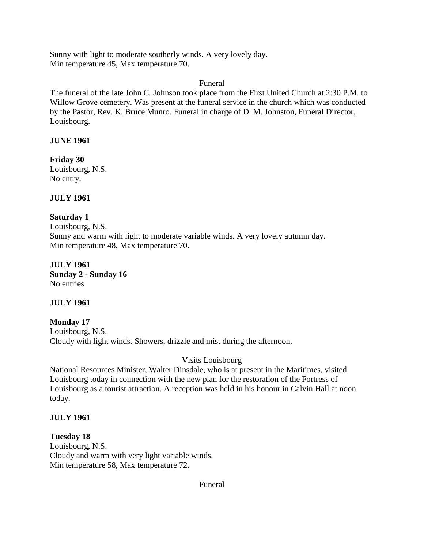Sunny with light to moderate southerly winds. A very lovely day. Min temperature 45, Max temperature 70.

Funeral

The funeral of the late John C. Johnson took place from the First United Church at 2:30 P.M. to Willow Grove cemetery. Was present at the funeral service in the church which was conducted by the Pastor, Rev. K. Bruce Munro. Funeral in charge of D. M. Johnston, Funeral Director, Louisbourg.

# **JUNE 1961**

**Friday 30** Louisbourg, N.S. No entry.

**JULY 1961**

# **Saturday 1**

Louisbourg, N.S. Sunny and warm with light to moderate variable winds. A very lovely autumn day. Min temperature 48, Max temperature 70.

**JULY 1961 Sunday 2 - Sunday 16** No entries

**JULY 1961**

**Monday 17** Louisbourg, N.S. Cloudy with light winds. Showers, drizzle and mist during the afternoon.

# Visits Louisbourg

National Resources Minister, Walter Dinsdale, who is at present in the Maritimes, visited Louisbourg today in connection with the new plan for the restoration of the Fortress of Louisbourg as a tourist attraction. A reception was held in his honour in Calvin Hall at noon today.

# **JULY 1961**

**Tuesday 18** Louisbourg, N.S. Cloudy and warm with very light variable winds. Min temperature 58, Max temperature 72.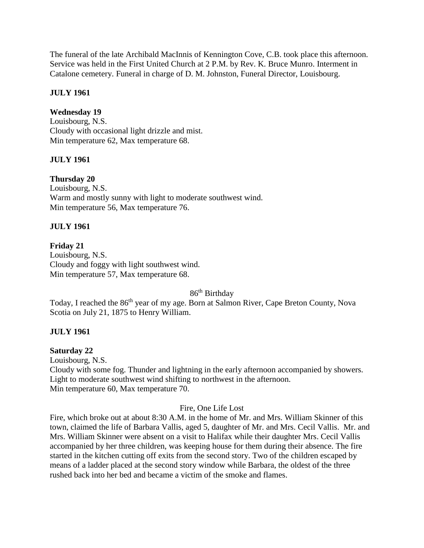The funeral of the late Archibald MacInnis of Kennington Cove, C.B. took place this afternoon. Service was held in the First United Church at 2 P.M. by Rev. K. Bruce Munro. Interment in Catalone cemetery. Funeral in charge of D. M. Johnston, Funeral Director, Louisbourg.

# **JULY 1961**

# **Wednesday 19**

Louisbourg, N.S. Cloudy with occasional light drizzle and mist. Min temperature 62, Max temperature 68.

# **JULY 1961**

# **Thursday 20**

Louisbourg, N.S. Warm and mostly sunny with light to moderate southwest wind. Min temperature 56, Max temperature 76.

# **JULY 1961**

# **Friday 21**

Louisbourg, N.S. Cloudy and foggy with light southwest wind. Min temperature 57, Max temperature 68.

86<sup>th</sup> Birthday

Today, I reached the 86<sup>th</sup> year of my age. Born at Salmon River, Cape Breton County, Nova Scotia on July 21, 1875 to Henry William.

## **JULY 1961**

### **Saturday 22**

Louisbourg, N.S. Cloudy with some fog. Thunder and lightning in the early afternoon accompanied by showers. Light to moderate southwest wind shifting to northwest in the afternoon. Min temperature 60, Max temperature 70.

### Fire, One Life Lost

Fire, which broke out at about 8:30 A.M. in the home of Mr. and Mrs. William Skinner of this town, claimed the life of Barbara Vallis, aged 5, daughter of Mr. and Mrs. Cecil Vallis. Mr. and Mrs. William Skinner were absent on a visit to Halifax while their daughter Mrs. Cecil Vallis accompanied by her three children, was keeping house for them during their absence. The fire started in the kitchen cutting off exits from the second story. Two of the children escaped by means of a ladder placed at the second story window while Barbara, the oldest of the three rushed back into her bed and became a victim of the smoke and flames.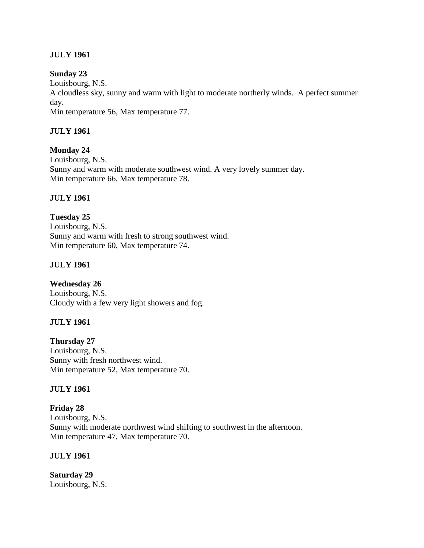# **JULY 1961**

### **Sunday 23**

Louisbourg, N.S. A cloudless sky, sunny and warm with light to moderate northerly winds. A perfect summer day. Min temperature 56, Max temperature 77.

# **JULY 1961**

**Monday 24**

Louisbourg, N.S. Sunny and warm with moderate southwest wind. A very lovely summer day. Min temperature 66, Max temperature 78.

### **JULY 1961**

**Tuesday 25** Louisbourg, N.S. Sunny and warm with fresh to strong southwest wind. Min temperature 60, Max temperature 74.

# **JULY 1961**

# **Wednesday 26**

Louisbourg, N.S. Cloudy with a few very light showers and fog.

### **JULY 1961**

**Thursday 27** Louisbourg, N.S. Sunny with fresh northwest wind. Min temperature 52, Max temperature 70.

### **JULY 1961**

**Friday 28** Louisbourg, N.S. Sunny with moderate northwest wind shifting to southwest in the afternoon. Min temperature 47, Max temperature 70.

### **JULY 1961**

**Saturday 29** Louisbourg, N.S.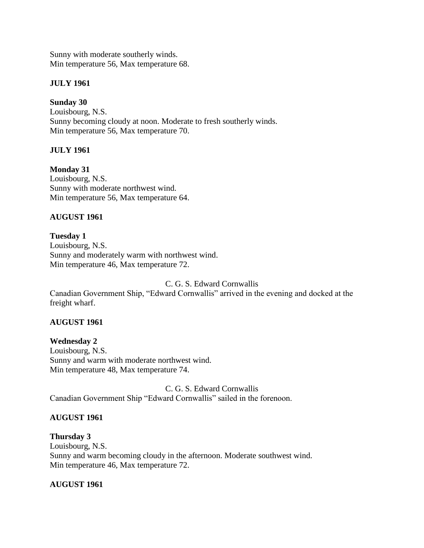Sunny with moderate southerly winds. Min temperature 56, Max temperature 68.

# **JULY 1961**

# **Sunday 30**

Louisbourg, N.S. Sunny becoming cloudy at noon. Moderate to fresh southerly winds. Min temperature 56, Max temperature 70.

# **JULY 1961**

**Monday 31** Louisbourg, N.S. Sunny with moderate northwest wind. Min temperature 56, Max temperature 64.

# **AUGUST 1961**

## **Tuesday 1** Louisbourg, N.S. Sunny and moderately warm with northwest wind. Min temperature 46, Max temperature 72.

C. G. S. Edward Cornwallis

Canadian Government Ship, "Edward Cornwallis" arrived in the evening and docked at the freight wharf.

# **AUGUST 1961**

**Wednesday 2** Louisbourg, N.S. Sunny and warm with moderate northwest wind. Min temperature 48, Max temperature 74.

C. G. S. Edward Cornwallis Canadian Government Ship "Edward Cornwallis" sailed in the forenoon.

# **AUGUST 1961**

# **Thursday 3**

Louisbourg, N.S. Sunny and warm becoming cloudy in the afternoon. Moderate southwest wind. Min temperature 46, Max temperature 72.

# **AUGUST 1961**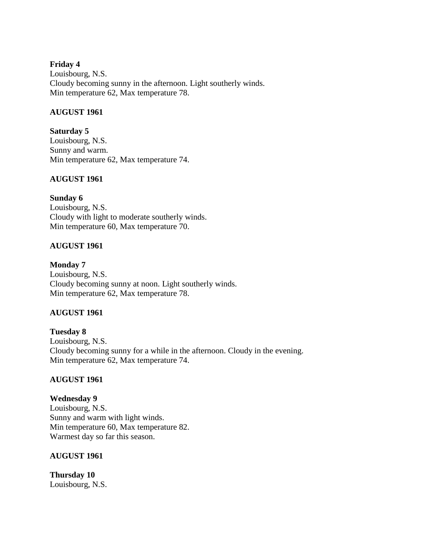## **Friday 4**

Louisbourg, N.S. Cloudy becoming sunny in the afternoon. Light southerly winds. Min temperature 62, Max temperature 78.

# **AUGUST 1961**

**Saturday 5** Louisbourg, N.S. Sunny and warm. Min temperature 62, Max temperature 74.

# **AUGUST 1961**

# **Sunday 6**

Louisbourg, N.S. Cloudy with light to moderate southerly winds. Min temperature 60, Max temperature 70.

# **AUGUST 1961**

# **Monday 7**

Louisbourg, N.S. Cloudy becoming sunny at noon. Light southerly winds. Min temperature 62, Max temperature 78.

# **AUGUST 1961**

**Tuesday 8** Louisbourg, N.S. Cloudy becoming sunny for a while in the afternoon. Cloudy in the evening. Min temperature 62, Max temperature 74.

# **AUGUST 1961**

**Wednesday 9** Louisbourg, N.S. Sunny and warm with light winds. Min temperature 60, Max temperature 82. Warmest day so far this season.

# **AUGUST 1961**

**Thursday 10** Louisbourg, N.S.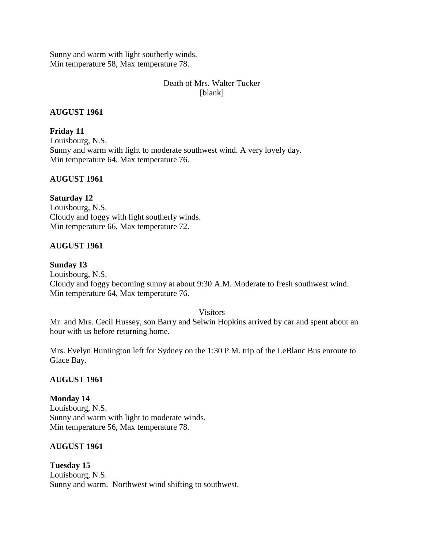Sunny and warm with light southerly winds. Min temperature 58, Max temperature 78.

# Death of Mrs. Walter Tucker [blank]

## **AUGUST 1961**

**Friday 11** Louisbourg, N.S. Sunny and warm with light to moderate southwest wind. A very lovely day. Min temperature 64, Max temperature 76.

# **AUGUST 1961**

### **Saturday 12**

Louisbourg, N.S. Cloudy and foggy with light southerly winds. Min temperature 66, Max temperature 72.

# **AUGUST 1961**

### **Sunday 13**

Louisbourg, N.S. Cloudy and foggy becoming sunny at about 9:30 A.M. Moderate to fresh southwest wind. Min temperature 64, Max temperature 76.

**Visitors** 

Mr. and Mrs. Cecil Hussey, son Barry and Selwin Hopkins arrived by car and spent about an hour with us before returning home.

Mrs. Evelyn Huntington left for Sydney on the 1:30 P.M. trip of the LeBlanc Bus enroute to Glace Bay.

### **AUGUST 1961**

### **Monday 14**

Louisbourg, N.S. Sunny and warm with light to moderate winds. Min temperature 56, Max temperature 78.

### **AUGUST 1961**

**Tuesday 15** Louisbourg, N.S. Sunny and warm. Northwest wind shifting to southwest.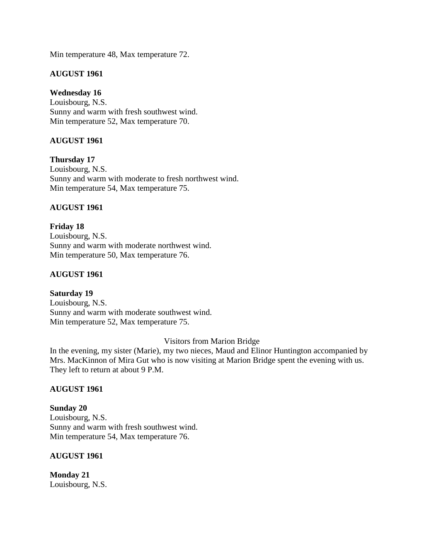Min temperature 48, Max temperature 72.

## **AUGUST 1961**

# **Wednesday 16**

Louisbourg, N.S. Sunny and warm with fresh southwest wind. Min temperature 52, Max temperature 70.

# **AUGUST 1961**

**Thursday 17** Louisbourg, N.S. Sunny and warm with moderate to fresh northwest wind. Min temperature 54, Max temperature 75.

# **AUGUST 1961**

**Friday 18** Louisbourg, N.S. Sunny and warm with moderate northwest wind. Min temperature 50, Max temperature 76.

## **AUGUST 1961**

**Saturday 19** Louisbourg, N.S. Sunny and warm with moderate southwest wind. Min temperature 52, Max temperature 75.

Visitors from Marion Bridge

In the evening, my sister (Marie), my two nieces, Maud and Elinor Huntington accompanied by Mrs. MacKinnon of Mira Gut who is now visiting at Marion Bridge spent the evening with us. They left to return at about 9 P.M.

### **AUGUST 1961**

**Sunday 20** Louisbourg, N.S. Sunny and warm with fresh southwest wind. Min temperature 54, Max temperature 76.

### **AUGUST 1961**

**Monday 21** Louisbourg, N.S.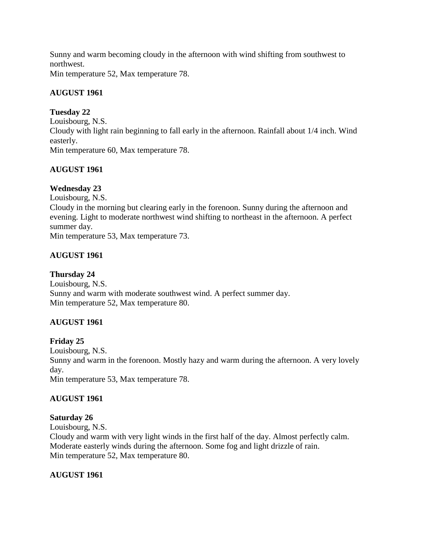Sunny and warm becoming cloudy in the afternoon with wind shifting from southwest to northwest.

Min temperature 52, Max temperature 78.

# **AUGUST 1961**

# **Tuesday 22**

Louisbourg, N.S. Cloudy with light rain beginning to fall early in the afternoon. Rainfall about 1/4 inch. Wind easterly. Min temperature 60, Max temperature 78.

# **AUGUST 1961**

# **Wednesday 23**

Louisbourg, N.S. Cloudy in the morning but clearing early in the forenoon. Sunny during the afternoon and evening. Light to moderate northwest wind shifting to northeast in the afternoon. A perfect summer day. Min temperature 53, Max temperature 73.

# **AUGUST 1961**

# **Thursday 24**

Louisbourg, N.S. Sunny and warm with moderate southwest wind. A perfect summer day. Min temperature 52, Max temperature 80.

# **AUGUST 1961**

# **Friday 25**

Louisbourg, N.S. Sunny and warm in the forenoon. Mostly hazy and warm during the afternoon. A very lovely day. Min temperature 53, Max temperature 78.

# **AUGUST 1961**

# **Saturday 26**

Louisbourg, N.S. Cloudy and warm with very light winds in the first half of the day. Almost perfectly calm. Moderate easterly winds during the afternoon. Some fog and light drizzle of rain. Min temperature 52, Max temperature 80.

# **AUGUST 1961**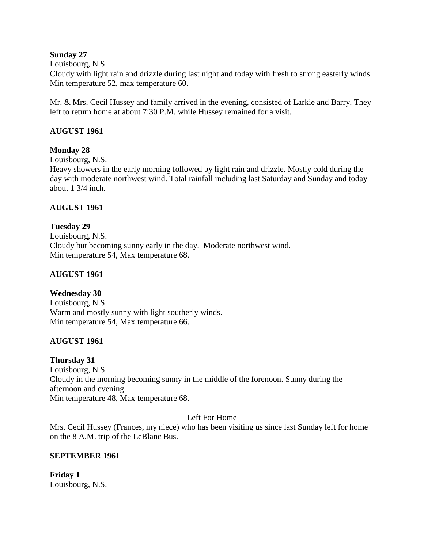## **Sunday 27**

### Louisbourg, N.S.

Cloudy with light rain and drizzle during last night and today with fresh to strong easterly winds. Min temperature 52, max temperature 60.

Mr. & Mrs. Cecil Hussey and family arrived in the evening, consisted of Larkie and Barry. They left to return home at about 7:30 P.M. while Hussey remained for a visit.

# **AUGUST 1961**

### **Monday 28**

Louisbourg, N.S.

Heavy showers in the early morning followed by light rain and drizzle. Mostly cold during the day with moderate northwest wind. Total rainfall including last Saturday and Sunday and today about 1 3/4 inch.

### **AUGUST 1961**

# **Tuesday 29** Louisbourg, N.S. Cloudy but becoming sunny early in the day. Moderate northwest wind. Min temperature 54, Max temperature 68.

## **AUGUST 1961**

### **Wednesday 30**

Louisbourg, N.S. Warm and mostly sunny with light southerly winds. Min temperature 54, Max temperature 66.

### **AUGUST 1961**

### **Thursday 31**

Louisbourg, N.S. Cloudy in the morning becoming sunny in the middle of the forenoon. Sunny during the afternoon and evening. Min temperature 48, Max temperature 68.

### Left For Home

Mrs. Cecil Hussey (Frances, my niece) who has been visiting us since last Sunday left for home on the 8 A.M. trip of the LeBlanc Bus.

### **SEPTEMBER 1961**

**Friday 1** Louisbourg, N.S.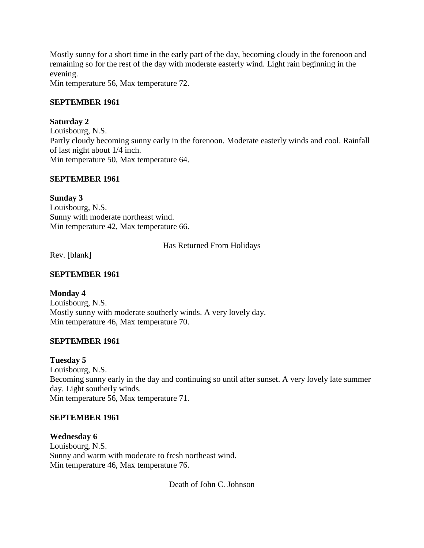Mostly sunny for a short time in the early part of the day, becoming cloudy in the forenoon and remaining so for the rest of the day with moderate easterly wind. Light rain beginning in the evening.

Min temperature 56, Max temperature 72.

# **SEPTEMBER 1961**

# **Saturday 2**

Louisbourg, N.S. Partly cloudy becoming sunny early in the forenoon. Moderate easterly winds and cool. Rainfall of last night about 1/4 inch. Min temperature 50, Max temperature 64.

# **SEPTEMBER 1961**

# **Sunday 3**

Louisbourg, N.S. Sunny with moderate northeast wind. Min temperature 42, Max temperature 66.

# Has Returned From Holidays

Rev. [blank]

## **SEPTEMBER 1961**

# **Monday 4**

Louisbourg, N.S. Mostly sunny with moderate southerly winds. A very lovely day. Min temperature 46, Max temperature 70.

### **SEPTEMBER 1961**

### **Tuesday 5**

Louisbourg, N.S. Becoming sunny early in the day and continuing so until after sunset. A very lovely late summer day. Light southerly winds. Min temperature 56, Max temperature 71.

### **SEPTEMBER 1961**

### **Wednesday 6**

Louisbourg, N.S. Sunny and warm with moderate to fresh northeast wind. Min temperature 46, Max temperature 76.

Death of John C. Johnson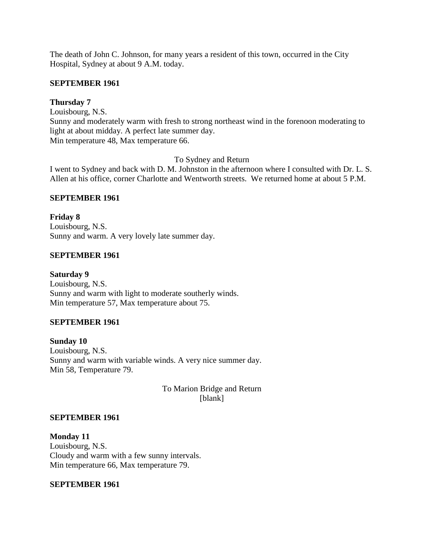The death of John C. Johnson, for many years a resident of this town, occurred in the City Hospital, Sydney at about 9 A.M. today.

### **SEPTEMBER 1961**

## **Thursday 7**

Louisbourg, N.S. Sunny and moderately warm with fresh to strong northeast wind in the forenoon moderating to light at about midday. A perfect late summer day. Min temperature 48, Max temperature 66.

To Sydney and Return

I went to Sydney and back with D. M. Johnston in the afternoon where I consulted with Dr. L. S. Allen at his office, corner Charlotte and Wentworth streets. We returned home at about 5 P.M.

# **SEPTEMBER 1961**

**Friday 8** Louisbourg, N.S. Sunny and warm. A very lovely late summer day.

# **SEPTEMBER 1961**

**Saturday 9** Louisbourg, N.S. Sunny and warm with light to moderate southerly winds. Min temperature 57, Max temperature about 75.

# **SEPTEMBER 1961**

**Sunday 10** Louisbourg, N.S. Sunny and warm with variable winds. A very nice summer day. Min 58, Temperature 79.

> To Marion Bridge and Return [blank]

### **SEPTEMBER 1961**

**Monday 11** Louisbourg, N.S. Cloudy and warm with a few sunny intervals. Min temperature 66, Max temperature 79.

### **SEPTEMBER 1961**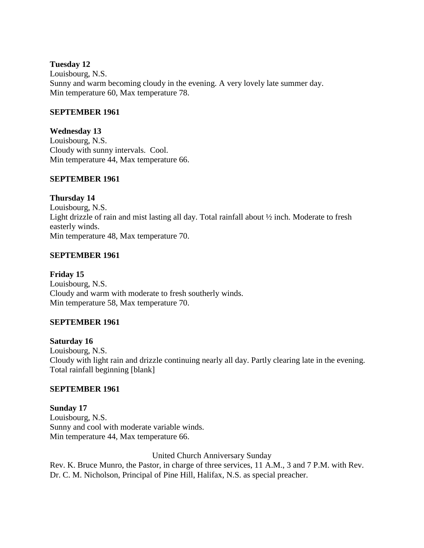## **Tuesday 12**

Louisbourg, N.S. Sunny and warm becoming cloudy in the evening. A very lovely late summer day. Min temperature 60, Max temperature 78.

# **SEPTEMBER 1961**

**Wednesday 13** Louisbourg, N.S. Cloudy with sunny intervals. Cool. Min temperature 44, Max temperature 66.

# **SEPTEMBER 1961**

# **Thursday 14**

Louisbourg, N.S. Light drizzle of rain and mist lasting all day. Total rainfall about ½ inch. Moderate to fresh easterly winds. Min temperature 48, Max temperature 70.

# **SEPTEMBER 1961**

**Friday 15** Louisbourg, N.S. Cloudy and warm with moderate to fresh southerly winds. Min temperature 58, Max temperature 70.

# **SEPTEMBER 1961**

### **Saturday 16**

Louisbourg, N.S. Cloudy with light rain and drizzle continuing nearly all day. Partly clearing late in the evening. Total rainfall beginning [blank]

### **SEPTEMBER 1961**

**Sunday 17** Louisbourg, N.S. Sunny and cool with moderate variable winds. Min temperature 44, Max temperature 66.

United Church Anniversary Sunday

Rev. K. Bruce Munro, the Pastor, in charge of three services, 11 A.M., 3 and 7 P.M. with Rev. Dr. C. M. Nicholson, Principal of Pine Hill, Halifax, N.S. as special preacher.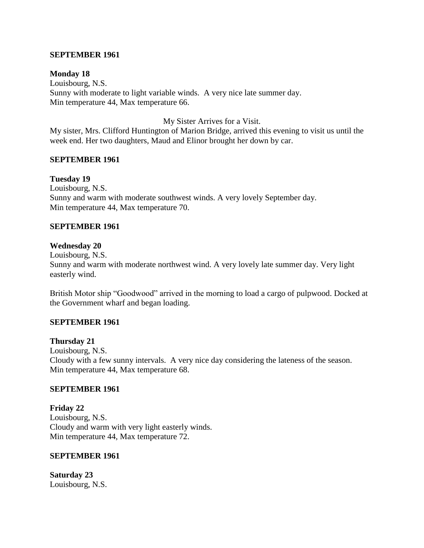### **SEPTEMBER 1961**

#### **Monday 18**

Louisbourg, N.S. Sunny with moderate to light variable winds. A very nice late summer day. Min temperature 44, Max temperature 66.

My Sister Arrives for a Visit.

My sister, Mrs. Clifford Huntington of Marion Bridge, arrived this evening to visit us until the week end. Her two daughters, Maud and Elinor brought her down by car.

### **SEPTEMBER 1961**

#### **Tuesday 19**

Louisbourg, N.S. Sunny and warm with moderate southwest winds. A very lovely September day. Min temperature 44, Max temperature 70.

#### **SEPTEMBER 1961**

#### **Wednesday 20**

Louisbourg, N.S. Sunny and warm with moderate northwest wind. A very lovely late summer day. Very light easterly wind.

British Motor ship "Goodwood" arrived in the morning to load a cargo of pulpwood. Docked at the Government wharf and began loading.

#### **SEPTEMBER 1961**

#### **Thursday 21**

Louisbourg, N.S. Cloudy with a few sunny intervals. A very nice day considering the lateness of the season. Min temperature 44, Max temperature 68.

#### **SEPTEMBER 1961**

**Friday 22** Louisbourg, N.S. Cloudy and warm with very light easterly winds. Min temperature 44, Max temperature 72.

#### **SEPTEMBER 1961**

**Saturday 23** Louisbourg, N.S.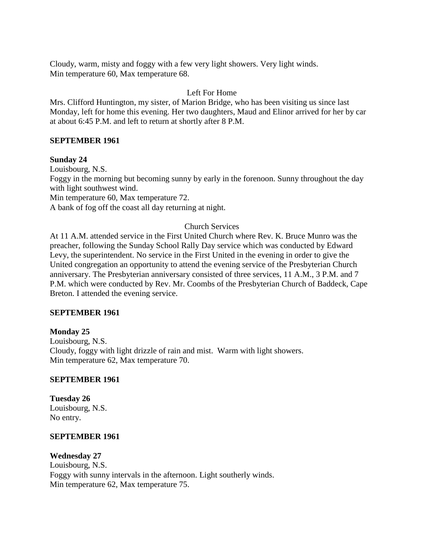Cloudy, warm, misty and foggy with a few very light showers. Very light winds. Min temperature 60, Max temperature 68.

# Left For Home

Mrs. Clifford Huntington, my sister, of Marion Bridge, who has been visiting us since last Monday, left for home this evening. Her two daughters, Maud and Elinor arrived for her by car at about 6:45 P.M. and left to return at shortly after 8 P.M.

### **SEPTEMBER 1961**

### **Sunday 24**

Louisbourg, N.S.

Foggy in the morning but becoming sunny by early in the forenoon. Sunny throughout the day with light southwest wind.

Min temperature 60, Max temperature 72.

A bank of fog off the coast all day returning at night.

# Church Services

At 11 A.M. attended service in the First United Church where Rev. K. Bruce Munro was the preacher, following the Sunday School Rally Day service which was conducted by Edward Levy, the superintendent. No service in the First United in the evening in order to give the United congregation an opportunity to attend the evening service of the Presbyterian Church anniversary. The Presbyterian anniversary consisted of three services, 11 A.M., 3 P.M. and 7 P.M. which were conducted by Rev. Mr. Coombs of the Presbyterian Church of Baddeck, Cape Breton. I attended the evening service.

### **SEPTEMBER 1961**

### **Monday 25**

Louisbourg, N.S. Cloudy, foggy with light drizzle of rain and mist. Warm with light showers. Min temperature 62, Max temperature 70.

### **SEPTEMBER 1961**

**Tuesday 26** Louisbourg, N.S. No entry.

#### **SEPTEMBER 1961**

### **Wednesday 27**

Louisbourg, N.S. Foggy with sunny intervals in the afternoon. Light southerly winds. Min temperature 62, Max temperature 75.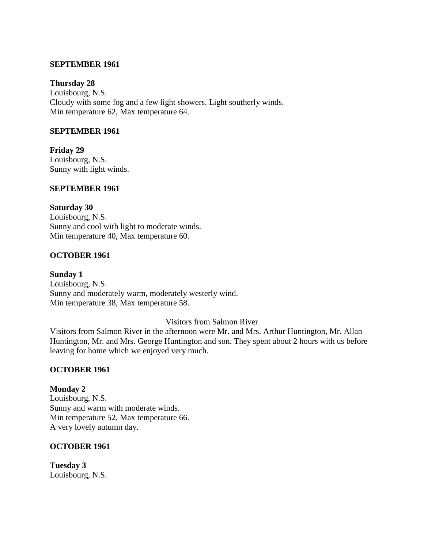### **SEPTEMBER 1961**

#### **Thursday 28**

Louisbourg, N.S. Cloudy with some fog and a few light showers. Light southerly winds. Min temperature 62, Max temperature 64.

## **SEPTEMBER 1961**

**Friday 29** Louisbourg, N.S. Sunny with light winds.

## **SEPTEMBER 1961**

**Saturday 30** Louisbourg, N.S. Sunny and cool with light to moderate winds. Min temperature 40, Max temperature 60.

### **OCTOBER 1961**

**Sunday 1** Louisbourg, N.S. Sunny and moderately warm, moderately westerly wind. Min temperature 38, Max temperature 58.

### Visitors from Salmon River

Visitors from Salmon River in the afternoon were Mr. and Mrs. Arthur Huntington, Mr. Allan Huntington, Mr. and Mrs. George Huntington and son. They spent about 2 hours with us before leaving for home which we enjoyed very much.

#### **OCTOBER 1961**

**Monday 2** Louisbourg, N.S. Sunny and warm with moderate winds. Min temperature 52, Max temperature 66. A very lovely autumn day.

#### **OCTOBER 1961**

**Tuesday 3** Louisbourg, N.S.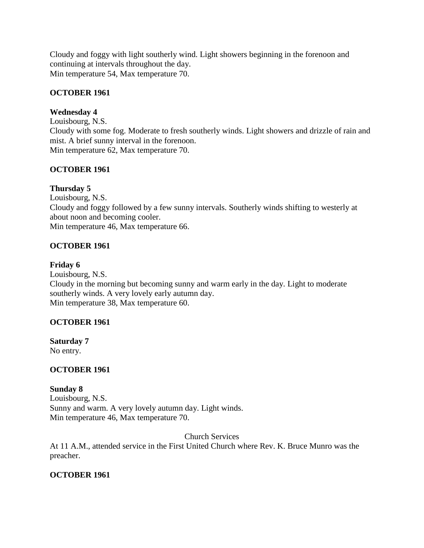Cloudy and foggy with light southerly wind. Light showers beginning in the forenoon and continuing at intervals throughout the day. Min temperature 54, Max temperature 70.

# **OCTOBER 1961**

# **Wednesday 4**

Louisbourg, N.S. Cloudy with some fog. Moderate to fresh southerly winds. Light showers and drizzle of rain and mist. A brief sunny interval in the forenoon. Min temperature 62, Max temperature 70.

# **OCTOBER 1961**

# **Thursday 5**

Louisbourg, N.S. Cloudy and foggy followed by a few sunny intervals. Southerly winds shifting to westerly at about noon and becoming cooler. Min temperature 46, Max temperature 66.

# **OCTOBER 1961**

# **Friday 6**

Louisbourg, N.S. Cloudy in the morning but becoming sunny and warm early in the day. Light to moderate southerly winds. A very lovely early autumn day. Min temperature 38, Max temperature 60.

# **OCTOBER 1961**

**Saturday 7** No entry.

# **OCTOBER 1961**

**Sunday 8** Louisbourg, N.S. Sunny and warm. A very lovely autumn day. Light winds. Min temperature 46, Max temperature 70.

Church Services

At 11 A.M., attended service in the First United Church where Rev. K. Bruce Munro was the preacher.

# **OCTOBER 1961**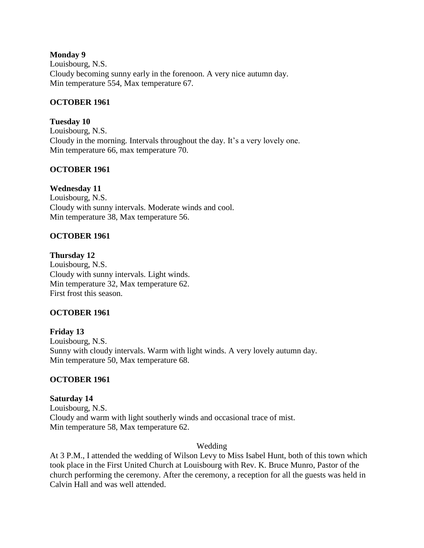### **Monday 9**

Louisbourg, N.S. Cloudy becoming sunny early in the forenoon. A very nice autumn day. Min temperature 554, Max temperature 67.

## **OCTOBER 1961**

**Tuesday 10** Louisbourg, N.S. Cloudy in the morning. Intervals throughout the day. It's a very lovely one. Min temperature 66, max temperature 70.

# **OCTOBER 1961**

# **Wednesday 11**

Louisbourg, N.S. Cloudy with sunny intervals. Moderate winds and cool. Min temperature 38, Max temperature 56.

# **OCTOBER 1961**

### **Thursday 12**

Louisbourg, N.S. Cloudy with sunny intervals. Light winds. Min temperature 32, Max temperature 62. First frost this season.

### **OCTOBER 1961**

**Friday 13** Louisbourg, N.S. Sunny with cloudy intervals. Warm with light winds. A very lovely autumn day. Min temperature 50, Max temperature 68.

### **OCTOBER 1961**

# **Saturday 14**

Louisbourg, N.S. Cloudy and warm with light southerly winds and occasional trace of mist. Min temperature 58, Max temperature 62.

### Wedding

At 3 P.M., I attended the wedding of Wilson Levy to Miss Isabel Hunt, both of this town which took place in the First United Church at Louisbourg with Rev. K. Bruce Munro, Pastor of the church performing the ceremony. After the ceremony, a reception for all the guests was held in Calvin Hall and was well attended.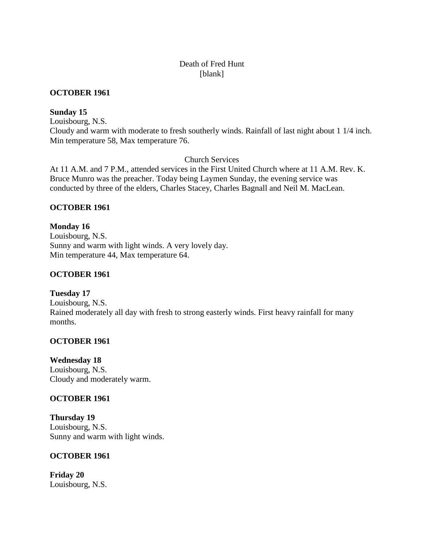# Death of Fred Hunt [blank]

## **OCTOBER 1961**

## **Sunday 15**

Louisbourg, N.S. Cloudy and warm with moderate to fresh southerly winds. Rainfall of last night about 1 1/4 inch. Min temperature 58, Max temperature 76.

Church Services

At 11 A.M. and 7 P.M., attended services in the First United Church where at 11 A.M. Rev. K. Bruce Munro was the preacher. Today being Laymen Sunday, the evening service was conducted by three of the elders, Charles Stacey, Charles Bagnall and Neil M. MacLean.

# **OCTOBER 1961**

**Monday 16** Louisbourg, N.S. Sunny and warm with light winds. A very lovely day. Min temperature 44, Max temperature 64.

# **OCTOBER 1961**

**Tuesday 17** Louisbourg, N.S. Rained moderately all day with fresh to strong easterly winds. First heavy rainfall for many months.

### **OCTOBER 1961**

**Wednesday 18** Louisbourg, N.S. Cloudy and moderately warm.

# **OCTOBER 1961**

**Thursday 19** Louisbourg, N.S. Sunny and warm with light winds.

### **OCTOBER 1961**

**Friday 20** Louisbourg, N.S.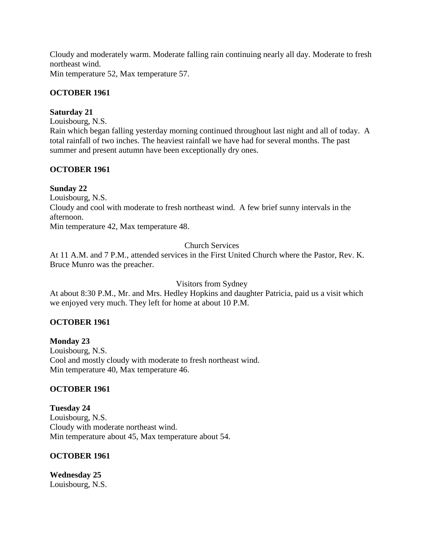Cloudy and moderately warm. Moderate falling rain continuing nearly all day. Moderate to fresh northeast wind.

Min temperature 52, Max temperature 57.

# **OCTOBER 1961**

# **Saturday 21**

Louisbourg, N.S.

Rain which began falling yesterday morning continued throughout last night and all of today. A total rainfall of two inches. The heaviest rainfall we have had for several months. The past summer and present autumn have been exceptionally dry ones.

# **OCTOBER 1961**

# **Sunday 22**

Louisbourg, N.S. Cloudy and cool with moderate to fresh northeast wind. A few brief sunny intervals in the afternoon. Min temperature 42, Max temperature 48.

# Church Services

At 11 A.M. and 7 P.M., attended services in the First United Church where the Pastor, Rev. K. Bruce Munro was the preacher.

Visitors from Sydney

At about 8:30 P.M., Mr. and Mrs. Hedley Hopkins and daughter Patricia, paid us a visit which we enjoyed very much. They left for home at about 10 P.M.

# **OCTOBER 1961**

**Monday 23** Louisbourg, N.S. Cool and mostly cloudy with moderate to fresh northeast wind. Min temperature 40, Max temperature 46.

# **OCTOBER 1961**

**Tuesday 24** Louisbourg, N.S. Cloudy with moderate northeast wind. Min temperature about 45, Max temperature about 54.

# **OCTOBER 1961**

**Wednesday 25** Louisbourg, N.S.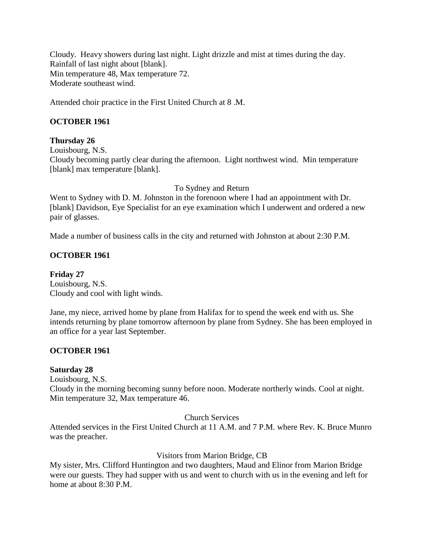Cloudy. Heavy showers during last night. Light drizzle and mist at times during the day. Rainfall of last night about [blank]. Min temperature 48, Max temperature 72. Moderate southeast wind.

Attended choir practice in the First United Church at 8 .M.

# **OCTOBER 1961**

## **Thursday 26**

Louisbourg, N.S.

Cloudy becoming partly clear during the afternoon. Light northwest wind. Min temperature [blank] max temperature [blank].

To Sydney and Return

Went to Sydney with D. M. Johnston in the forenoon where I had an appointment with Dr. [blank] Davidson, Eye Specialist for an eye examination which I underwent and ordered a new pair of glasses.

Made a number of business calls in the city and returned with Johnston at about 2:30 P.M.

# **OCTOBER 1961**

**Friday 27** Louisbourg, N.S. Cloudy and cool with light winds.

Jane, my niece, arrived home by plane from Halifax for to spend the week end with us. She intends returning by plane tomorrow afternoon by plane from Sydney. She has been employed in an office for a year last September.

### **OCTOBER 1961**

### **Saturday 28**

Louisbourg, N.S.

Cloudy in the morning becoming sunny before noon. Moderate northerly winds. Cool at night. Min temperature 32, Max temperature 46.

Church Services

Attended services in the First United Church at 11 A.M. and 7 P.M. where Rev. K. Bruce Munro was the preacher.

### Visitors from Marion Bridge, CB

My sister, Mrs. Clifford Huntington and two daughters, Maud and Elinor from Marion Bridge were our guests. They had supper with us and went to church with us in the evening and left for home at about 8:30 P.M.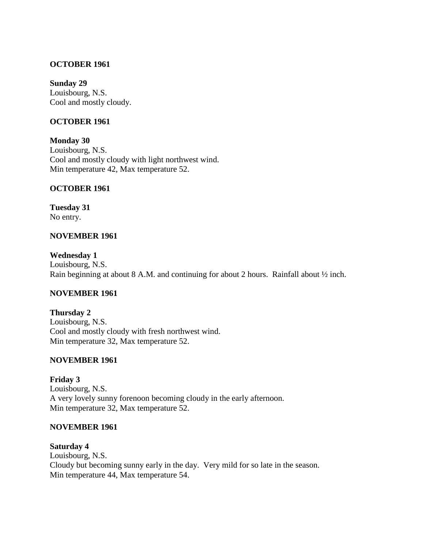### **OCTOBER 1961**

#### **Sunday 29**

Louisbourg, N.S. Cool and mostly cloudy.

### **OCTOBER 1961**

**Monday 30** Louisbourg, N.S. Cool and mostly cloudy with light northwest wind. Min temperature 42, Max temperature 52.

### **OCTOBER 1961**

**Tuesday 31** No entry.

### **NOVEMBER 1961**

**Wednesday 1** Louisbourg, N.S. Rain beginning at about 8 A.M. and continuing for about 2 hours. Rainfall about ½ inch.

### **NOVEMBER 1961**

**Thursday 2** Louisbourg, N.S. Cool and mostly cloudy with fresh northwest wind. Min temperature 32, Max temperature 52.

#### **NOVEMBER 1961**

**Friday 3** Louisbourg, N.S. A very lovely sunny forenoon becoming cloudy in the early afternoon. Min temperature 32, Max temperature 52.

### **NOVEMBER 1961**

**Saturday 4** Louisbourg, N.S. Cloudy but becoming sunny early in the day. Very mild for so late in the season. Min temperature 44, Max temperature 54.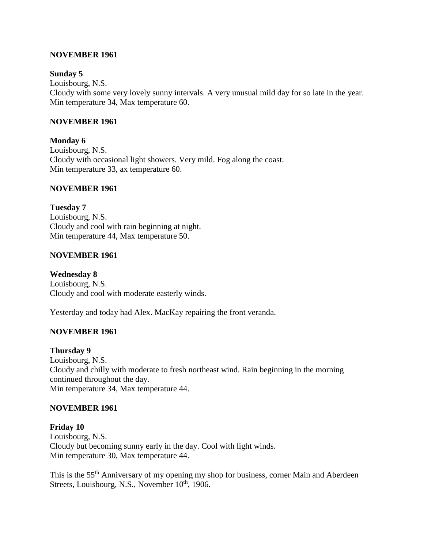### **NOVEMBER 1961**

### **Sunday 5**

Louisbourg, N.S. Cloudy with some very lovely sunny intervals. A very unusual mild day for so late in the year. Min temperature 34, Max temperature 60.

### **NOVEMBER 1961**

**Monday 6** Louisbourg, N.S. Cloudy with occasional light showers. Very mild. Fog along the coast. Min temperature 33, ax temperature 60.

### **NOVEMBER 1961**

**Tuesday 7** Louisbourg, N.S. Cloudy and cool with rain beginning at night. Min temperature 44, Max temperature 50.

### **NOVEMBER 1961**

**Wednesday 8** Louisbourg, N.S. Cloudy and cool with moderate easterly winds.

Yesterday and today had Alex. MacKay repairing the front veranda.

## **NOVEMBER 1961**

#### **Thursday 9**

Louisbourg, N.S. Cloudy and chilly with moderate to fresh northeast wind. Rain beginning in the morning continued throughout the day. Min temperature 34, Max temperature 44.

#### **NOVEMBER 1961**

# **Friday 10**

Louisbourg, N.S. Cloudy but becoming sunny early in the day. Cool with light winds. Min temperature 30, Max temperature 44.

This is the 55th Anniversary of my opening my shop for business, corner Main and Aberdeen Streets, Louisbourg, N.S., November 10<sup>th</sup>, 1906.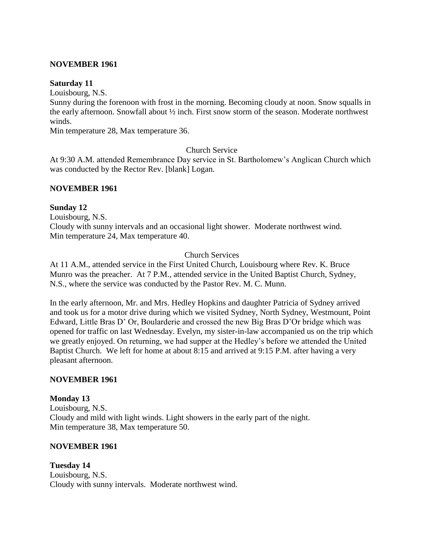### **NOVEMBER 1961**

### **Saturday 11**

Louisbourg, N.S.

Sunny during the forenoon with frost in the morning. Becoming cloudy at noon. Snow squalls in the early afternoon. Snowfall about ½ inch. First snow storm of the season. Moderate northwest winds.

Min temperature 28, Max temperature 36.

### Church Service

At 9:30 A.M. attended Remembrance Day service in St. Bartholomew's Anglican Church which was conducted by the Rector Rev. [blank] Logan.

### **NOVEMBER 1961**

### **Sunday 12**

Louisbourg, N.S.

Cloudy with sunny intervals and an occasional light shower. Moderate northwest wind. Min temperature 24, Max temperature 40.

## Church Services

At 11 A.M., attended service in the First United Church, Louisbourg where Rev. K. Bruce Munro was the preacher. At 7 P.M., attended service in the United Baptist Church, Sydney, N.S., where the service was conducted by the Pastor Rev. M. C. Munn.

In the early afternoon, Mr. and Mrs. Hedley Hopkins and daughter Patricia of Sydney arrived and took us for a motor drive during which we visited Sydney, North Sydney, Westmount, Point Edward, Little Bras D' Or, Boularderie and crossed the new Big Bras D'Or bridge which was opened for traffic on last Wednesday. Evelyn, my sister-in-law accompanied us on the trip which we greatly enjoyed. On returning, we had supper at the Hedley's before we attended the United Baptist Church. We left for home at about 8:15 and arrived at 9:15 P.M. after having a very pleasant afternoon.

### **NOVEMBER 1961**

#### **Monday 13**

Louisbourg, N.S. Cloudy and mild with light winds. Light showers in the early part of the night. Min temperature 38, Max temperature 50.

### **NOVEMBER 1961**

**Tuesday 14** Louisbourg, N.S. Cloudy with sunny intervals. Moderate northwest wind.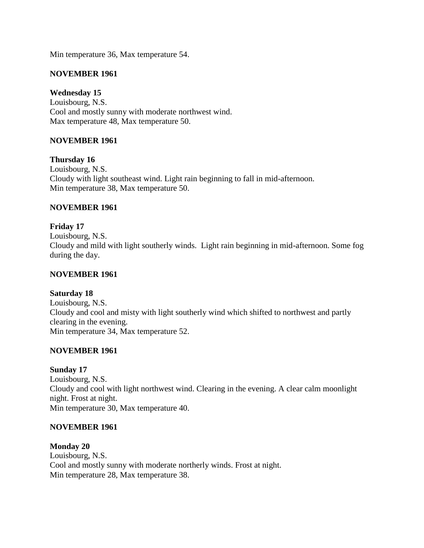Min temperature 36, Max temperature 54.

# **NOVEMBER 1961**

# **Wednesday 15**

Louisbourg, N.S. Cool and mostly sunny with moderate northwest wind. Max temperature 48, Max temperature 50.

# **NOVEMBER 1961**

**Thursday 16** Louisbourg, N.S. Cloudy with light southeast wind. Light rain beginning to fall in mid-afternoon. Min temperature 38, Max temperature 50.

# **NOVEMBER 1961**

**Friday 17** Louisbourg, N.S. Cloudy and mild with light southerly winds. Light rain beginning in mid-afternoon. Some fog during the day.

### **NOVEMBER 1961**

### **Saturday 18**

Louisbourg, N.S. Cloudy and cool and misty with light southerly wind which shifted to northwest and partly clearing in the evening. Min temperature 34, Max temperature 52.

### **NOVEMBER 1961**

#### **Sunday 17**

Louisbourg, N.S. Cloudy and cool with light northwest wind. Clearing in the evening. A clear calm moonlight night. Frost at night. Min temperature 30, Max temperature 40.

### **NOVEMBER 1961**

### **Monday 20**

Louisbourg, N.S. Cool and mostly sunny with moderate northerly winds. Frost at night. Min temperature 28, Max temperature 38.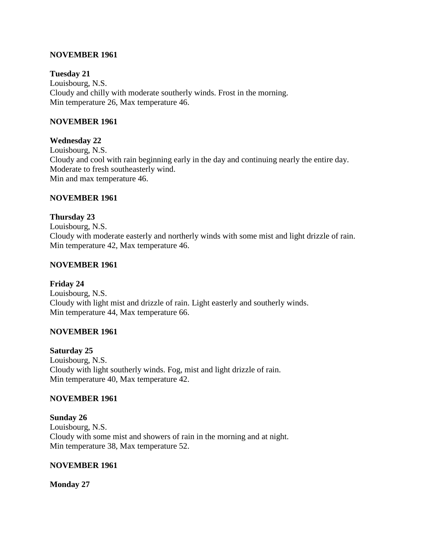### **NOVEMBER 1961**

### **Tuesday 21**

Louisbourg, N.S. Cloudy and chilly with moderate southerly winds. Frost in the morning. Min temperature 26, Max temperature 46.

### **NOVEMBER 1961**

### **Wednesday 22**

Louisbourg, N.S. Cloudy and cool with rain beginning early in the day and continuing nearly the entire day. Moderate to fresh southeasterly wind. Min and max temperature 46.

### **NOVEMBER 1961**

**Thursday 23** Louisbourg, N.S. Cloudy with moderate easterly and northerly winds with some mist and light drizzle of rain. Min temperature 42, Max temperature 46.

### **NOVEMBER 1961**

### **Friday 24**

Louisbourg, N.S. Cloudy with light mist and drizzle of rain. Light easterly and southerly winds. Min temperature 44, Max temperature 66.

### **NOVEMBER 1961**

#### **Saturday 25**

Louisbourg, N.S. Cloudy with light southerly winds. Fog, mist and light drizzle of rain. Min temperature 40, Max temperature 42.

#### **NOVEMBER 1961**

#### **Sunday 26**

Louisbourg, N.S. Cloudy with some mist and showers of rain in the morning and at night. Min temperature 38, Max temperature 52.

#### **NOVEMBER 1961**

**Monday 27**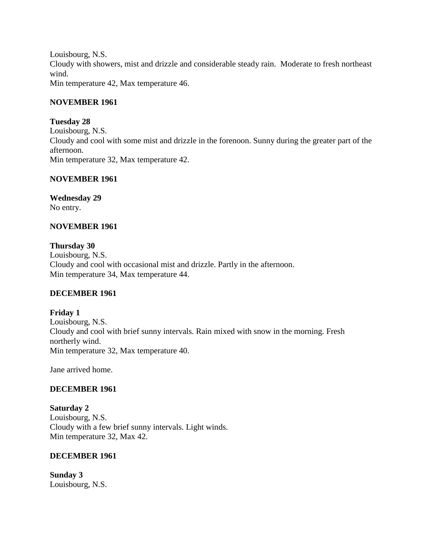Louisbourg, N.S. Cloudy with showers, mist and drizzle and considerable steady rain. Moderate to fresh northeast wind. Min temperature 42, Max temperature 46.

### **NOVEMBER 1961**

### **Tuesday 28**

Louisbourg, N.S. Cloudy and cool with some mist and drizzle in the forenoon. Sunny during the greater part of the afternoon. Min temperature 32, Max temperature 42.

### **NOVEMBER 1961**

**Wednesday 29** No entry.

### **NOVEMBER 1961**

**Thursday 30** Louisbourg, N.S. Cloudy and cool with occasional mist and drizzle. Partly in the afternoon. Min temperature 34, Max temperature 44.

### **DECEMBER 1961**

**Friday 1** Louisbourg, N.S. Cloudy and cool with brief sunny intervals. Rain mixed with snow in the morning. Fresh northerly wind. Min temperature 32, Max temperature 40.

Jane arrived home.

### **DECEMBER 1961**

**Saturday 2** Louisbourg, N.S. Cloudy with a few brief sunny intervals. Light winds. Min temperature 32, Max 42.

#### **DECEMBER 1961**

**Sunday 3** Louisbourg, N.S.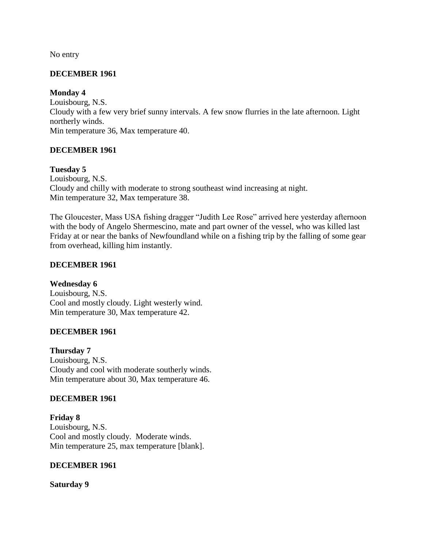No entry

# **DECEMBER 1961**

## **Monday 4**

Louisbourg, N.S. Cloudy with a few very brief sunny intervals. A few snow flurries in the late afternoon. Light northerly winds. Min temperature 36, Max temperature 40.

# **DECEMBER 1961**

# **Tuesday 5**

Louisbourg, N.S. Cloudy and chilly with moderate to strong southeast wind increasing at night. Min temperature 32, Max temperature 38.

The Gloucester, Mass USA fishing dragger "Judith Lee Rose" arrived here yesterday afternoon with the body of Angelo Shermescino, mate and part owner of the vessel, who was killed last Friday at or near the banks of Newfoundland while on a fishing trip by the falling of some gear from overhead, killing him instantly.

# **DECEMBER 1961**

**Wednesday 6**

Louisbourg, N.S. Cool and mostly cloudy. Light westerly wind. Min temperature 30, Max temperature 42.

# **DECEMBER 1961**

**Thursday 7** Louisbourg, N.S. Cloudy and cool with moderate southerly winds. Min temperature about 30, Max temperature 46.

### **DECEMBER 1961**

**Friday 8** Louisbourg, N.S. Cool and mostly cloudy. Moderate winds. Min temperature 25, max temperature [blank].

### **DECEMBER 1961**

**Saturday 9**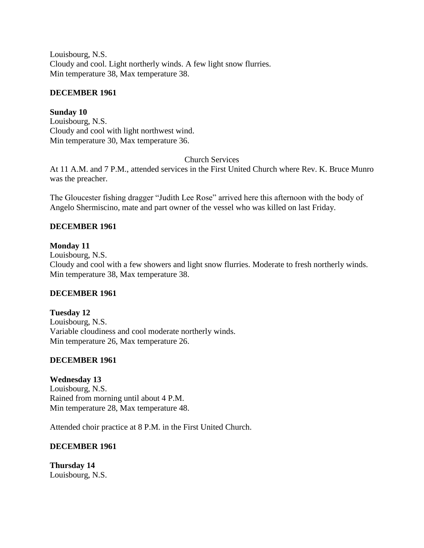Louisbourg, N.S. Cloudy and cool. Light northerly winds. A few light snow flurries. Min temperature 38, Max temperature 38.

## **DECEMBER 1961**

# **Sunday 10**

Louisbourg, N.S. Cloudy and cool with light northwest wind. Min temperature 30, Max temperature 36.

Church Services

At 11 A.M. and 7 P.M., attended services in the First United Church where Rev. K. Bruce Munro was the preacher.

The Gloucester fishing dragger "Judith Lee Rose" arrived here this afternoon with the body of Angelo Shermiscino, mate and part owner of the vessel who was killed on last Friday.

# **DECEMBER 1961**

### **Monday 11**

Louisbourg, N.S. Cloudy and cool with a few showers and light snow flurries. Moderate to fresh northerly winds. Min temperature 38, Max temperature 38.

# **DECEMBER 1961**

**Tuesday 12** Louisbourg, N.S. Variable cloudiness and cool moderate northerly winds. Min temperature 26, Max temperature 26.

### **DECEMBER 1961**

### **Wednesday 13**

Louisbourg, N.S. Rained from morning until about 4 P.M. Min temperature 28, Max temperature 48.

Attended choir practice at 8 P.M. in the First United Church.

### **DECEMBER 1961**

**Thursday 14** Louisbourg, N.S.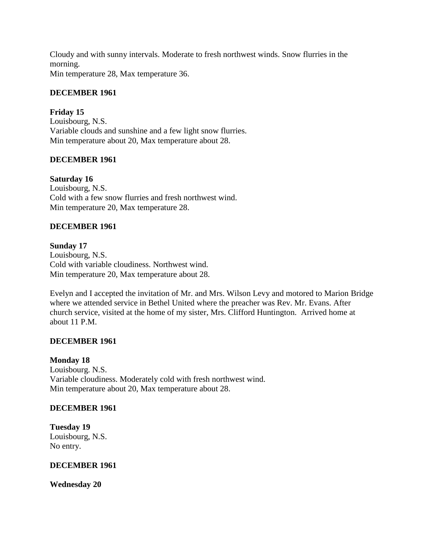Cloudy and with sunny intervals. Moderate to fresh northwest winds. Snow flurries in the morning.

Min temperature 28, Max temperature 36.

# **DECEMBER 1961**

**Friday 15** Louisbourg, N.S. Variable clouds and sunshine and a few light snow flurries. Min temperature about 20, Max temperature about 28.

# **DECEMBER 1961**

**Saturday 16** Louisbourg, N.S. Cold with a few snow flurries and fresh northwest wind. Min temperature 20, Max temperature 28.

# **DECEMBER 1961**

### **Sunday 17**

Louisbourg, N.S. Cold with variable cloudiness. Northwest wind. Min temperature 20, Max temperature about 28.

Evelyn and I accepted the invitation of Mr. and Mrs. Wilson Levy and motored to Marion Bridge where we attended service in Bethel United where the preacher was Rev. Mr. Evans. After church service, visited at the home of my sister, Mrs. Clifford Huntington. Arrived home at about 11 P.M.

### **DECEMBER 1961**

#### **Monday 18**

Louisbourg. N.S. Variable cloudiness. Moderately cold with fresh northwest wind. Min temperature about 20, Max temperature about 28.

### **DECEMBER 1961**

**Tuesday 19** Louisbourg, N.S. No entry.

#### **DECEMBER 1961**

**Wednesday 20**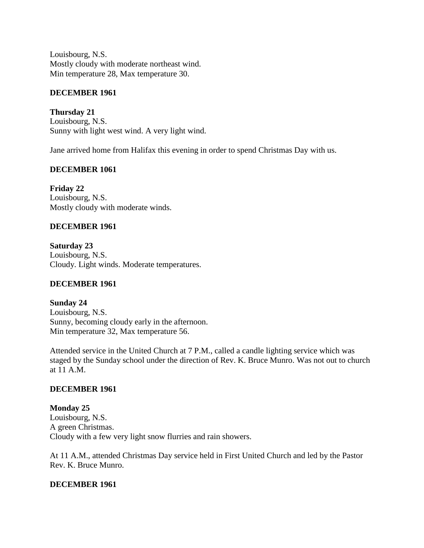Louisbourg, N.S. Mostly cloudy with moderate northeast wind. Min temperature 28, Max temperature 30.

## **DECEMBER 1961**

**Thursday 21** Louisbourg, N.S. Sunny with light west wind. A very light wind.

Jane arrived home from Halifax this evening in order to spend Christmas Day with us.

## **DECEMBER 1061**

**Friday 22** Louisbourg, N.S. Mostly cloudy with moderate winds.

## **DECEMBER 1961**

**Saturday 23** Louisbourg, N.S. Cloudy. Light winds. Moderate temperatures.

### **DECEMBER 1961**

**Sunday 24** Louisbourg, N.S. Sunny, becoming cloudy early in the afternoon. Min temperature 32, Max temperature 56.

Attended service in the United Church at 7 P.M., called a candle lighting service which was staged by the Sunday school under the direction of Rev. K. Bruce Munro. Was not out to church at 11 A.M.

### **DECEMBER 1961**

**Monday 25** Louisbourg, N.S. A green Christmas. Cloudy with a few very light snow flurries and rain showers.

At 11 A.M., attended Christmas Day service held in First United Church and led by the Pastor Rev. K. Bruce Munro.

### **DECEMBER 1961**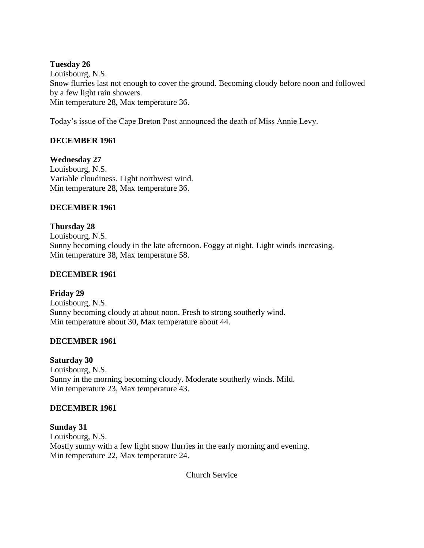## **Tuesday 26**

Louisbourg, N.S. Snow flurries last not enough to cover the ground. Becoming cloudy before noon and followed by a few light rain showers. Min temperature 28, Max temperature 36.

Today's issue of the Cape Breton Post announced the death of Miss Annie Levy.

# **DECEMBER 1961**

**Wednesday 27** Louisbourg, N.S. Variable cloudiness. Light northwest wind. Min temperature 28, Max temperature 36.

# **DECEMBER 1961**

**Thursday 28** Louisbourg, N.S. Sunny becoming cloudy in the late afternoon. Foggy at night. Light winds increasing. Min temperature 38, Max temperature 58.

### **DECEMBER 1961**

**Friday 29** Louisbourg, N.S. Sunny becoming cloudy at about noon. Fresh to strong southerly wind. Min temperature about 30, Max temperature about 44.

### **DECEMBER 1961**

### **Saturday 30**

Louisbourg, N.S. Sunny in the morning becoming cloudy. Moderate southerly winds. Mild. Min temperature 23, Max temperature 43.

### **DECEMBER 1961**

**Sunday 31** Louisbourg, N.S. Mostly sunny with a few light snow flurries in the early morning and evening. Min temperature 22, Max temperature 24.

Church Service